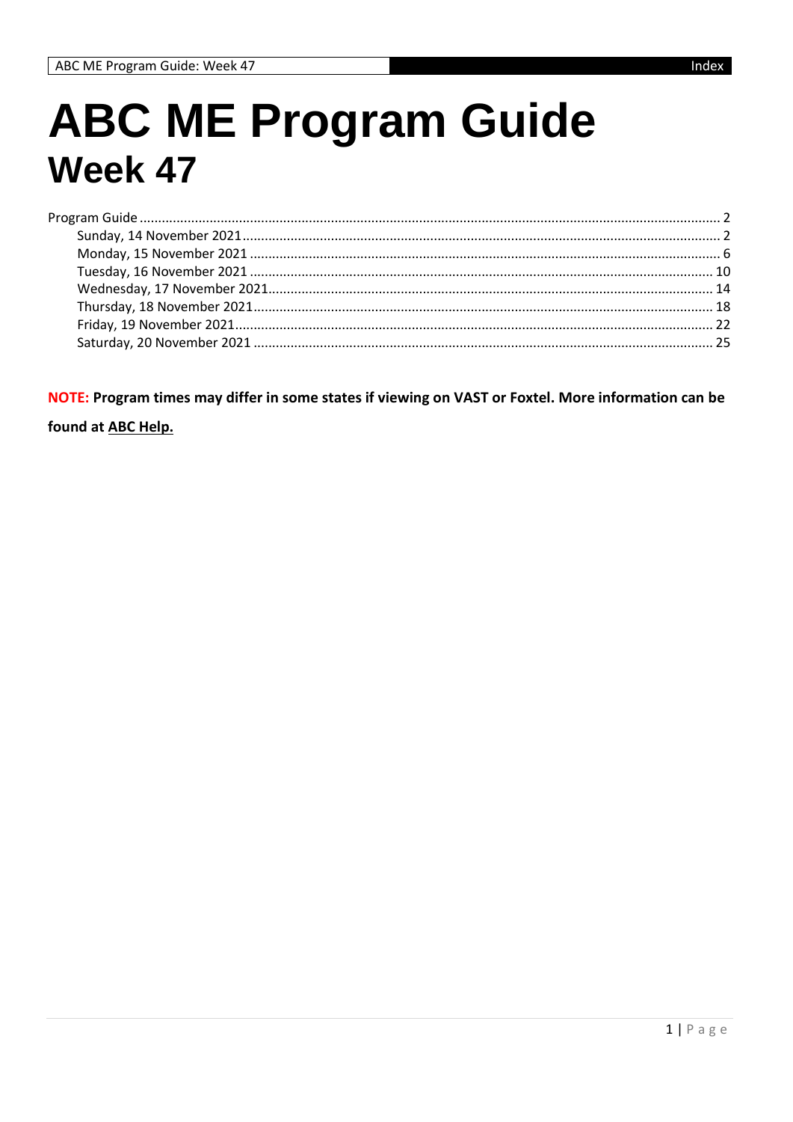## **ABC ME Program Guide** Week 47

NOTE: Program times may differ in some states if viewing on VAST or Foxtel. More information can be

found at ABC Help.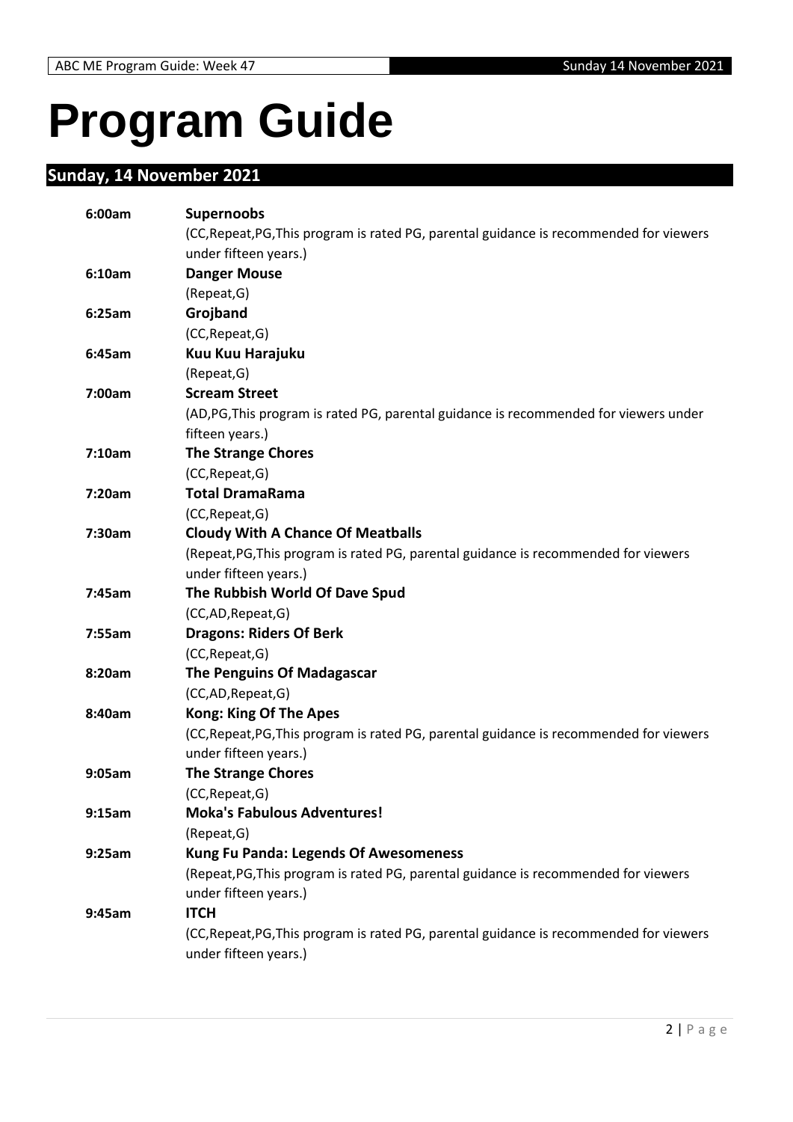# <span id="page-1-0"></span>**Program Guide**

### <span id="page-1-1"></span>**Sunday, 14 November 2021**

| 6:00am | <b>Supernoobs</b>                                                                       |
|--------|-----------------------------------------------------------------------------------------|
|        | (CC, Repeat, PG, This program is rated PG, parental guidance is recommended for viewers |
|        | under fifteen years.)                                                                   |
| 6:10am | <b>Danger Mouse</b>                                                                     |
|        | (Repeat, G)                                                                             |
| 6:25am | Grojband                                                                                |
|        | (CC, Repeat, G)                                                                         |
| 6:45am | Kuu Kuu Harajuku                                                                        |
|        | (Repeat, G)                                                                             |
| 7:00am | <b>Scream Street</b>                                                                    |
|        | (AD, PG, This program is rated PG, parental guidance is recommended for viewers under   |
|        | fifteen years.)                                                                         |
| 7:10am | <b>The Strange Chores</b>                                                               |
|        | (CC, Repeat, G)                                                                         |
| 7:20am | <b>Total DramaRama</b>                                                                  |
|        | (CC, Repeat, G)                                                                         |
| 7:30am | <b>Cloudy With A Chance Of Meatballs</b>                                                |
|        | (Repeat, PG, This program is rated PG, parental guidance is recommended for viewers     |
|        | under fifteen years.)                                                                   |
| 7:45am | The Rubbish World Of Dave Spud                                                          |
|        | (CC,AD,Repeat,G)                                                                        |
| 7:55am | <b>Dragons: Riders Of Berk</b>                                                          |
|        | (CC, Repeat, G)                                                                         |
| 8:20am | <b>The Penguins Of Madagascar</b>                                                       |
|        | (CC,AD,Repeat,G)                                                                        |
| 8:40am | <b>Kong: King Of The Apes</b>                                                           |
|        | (CC, Repeat, PG, This program is rated PG, parental guidance is recommended for viewers |
|        | under fifteen years.)                                                                   |
| 9:05am | <b>The Strange Chores</b>                                                               |
|        | (CC, Repeat, G)                                                                         |
| 9:15am | <b>Moka's Fabulous Adventures!</b>                                                      |
|        | (Repeat, G)                                                                             |
| 9:25am | <b>Kung Fu Panda: Legends Of Awesomeness</b>                                            |
|        | (Repeat, PG, This program is rated PG, parental guidance is recommended for viewers     |
|        | under fifteen years.)                                                                   |
| 9:45am | <b>ITCH</b>                                                                             |
|        | (CC, Repeat, PG, This program is rated PG, parental guidance is recommended for viewers |
|        | under fifteen years.)                                                                   |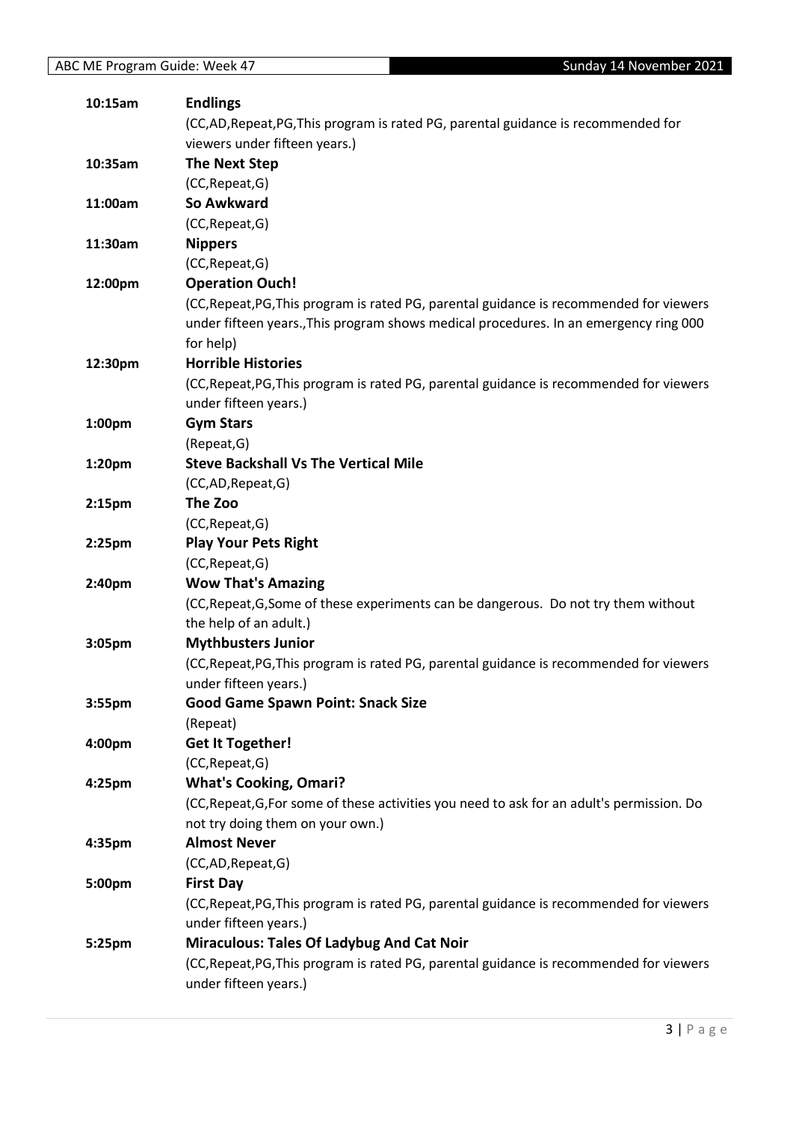| 10:15am            | <b>Endlings</b>                                                                            |
|--------------------|--------------------------------------------------------------------------------------------|
|                    | (CC,AD,Repeat,PG,This program is rated PG, parental guidance is recommended for            |
|                    | viewers under fifteen years.)                                                              |
| 10:35am            | <b>The Next Step</b>                                                                       |
|                    | (CC, Repeat, G)                                                                            |
| 11:00am            | So Awkward                                                                                 |
|                    | (CC, Repeat, G)                                                                            |
| 11:30am            | <b>Nippers</b>                                                                             |
|                    | (CC, Repeat, G)                                                                            |
| 12:00pm            | <b>Operation Ouch!</b>                                                                     |
|                    | (CC, Repeat, PG, This program is rated PG, parental guidance is recommended for viewers    |
|                    | under fifteen years., This program shows medical procedures. In an emergency ring 000      |
|                    | for help)                                                                                  |
| 12:30pm            | <b>Horrible Histories</b>                                                                  |
|                    | (CC, Repeat, PG, This program is rated PG, parental guidance is recommended for viewers    |
|                    | under fifteen years.)                                                                      |
| 1:00pm             | <b>Gym Stars</b>                                                                           |
|                    | (Repeat, G)<br><b>Steve Backshall Vs The Vertical Mile</b>                                 |
| 1:20pm             |                                                                                            |
|                    | (CC,AD, Repeat, G)<br>The Zoo                                                              |
| 2:15 <sub>pm</sub> |                                                                                            |
|                    | (CC, Repeat, G)                                                                            |
| $2:25$ pm          | <b>Play Your Pets Right</b>                                                                |
| 2:40pm             | (CC, Repeat, G)<br><b>Wow That's Amazing</b>                                               |
|                    | (CC, Repeat, G, Some of these experiments can be dangerous. Do not try them without        |
|                    | the help of an adult.)                                                                     |
| 3:05pm             | <b>Mythbusters Junior</b>                                                                  |
|                    | (CC, Repeat, PG, This program is rated PG, parental guidance is recommended for viewers    |
|                    | under fifteen years.)                                                                      |
| 3:55pm             | <b>Good Game Spawn Point: Snack Size</b>                                                   |
|                    | (Repeat)                                                                                   |
| 4:00pm             | <b>Get It Together!</b>                                                                    |
|                    | (CC, Repeat, G)                                                                            |
| 4:25pm             | <b>What's Cooking, Omari?</b>                                                              |
|                    | (CC, Repeat, G, For some of these activities you need to ask for an adult's permission. Do |
|                    | not try doing them on your own.)                                                           |
| 4:35pm             | <b>Almost Never</b>                                                                        |
|                    | (CC,AD,Repeat,G)                                                                           |
| 5:00pm             | <b>First Day</b>                                                                           |
|                    | (CC, Repeat, PG, This program is rated PG, parental guidance is recommended for viewers    |
|                    | under fifteen years.)                                                                      |
| 5:25pm             | <b>Miraculous: Tales Of Ladybug And Cat Noir</b>                                           |
|                    | (CC, Repeat, PG, This program is rated PG, parental guidance is recommended for viewers    |
|                    | under fifteen years.)                                                                      |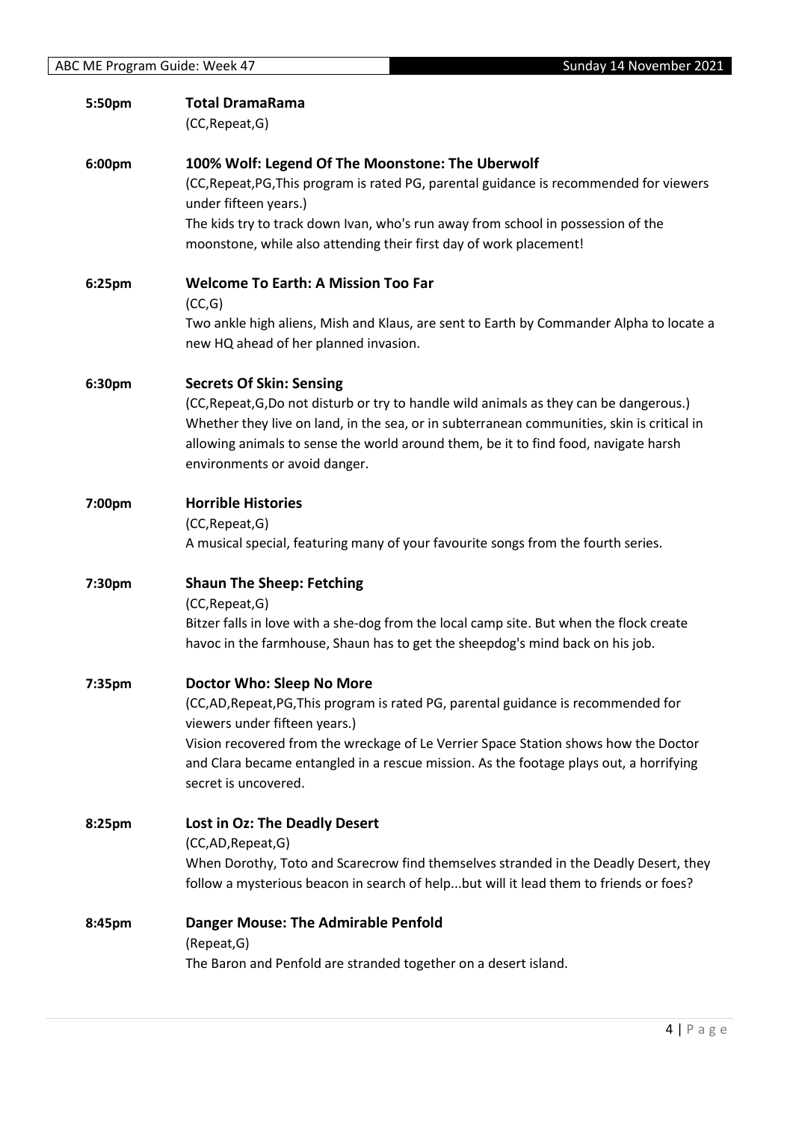| 5:50pm | <b>Total DramaRama</b><br>(CC, Repeat, G)                                                                                                                                                                                                                                                                                                              |
|--------|--------------------------------------------------------------------------------------------------------------------------------------------------------------------------------------------------------------------------------------------------------------------------------------------------------------------------------------------------------|
| 6:00pm | 100% Wolf: Legend Of The Moonstone: The Uberwolf<br>(CC, Repeat, PG, This program is rated PG, parental guidance is recommended for viewers<br>under fifteen years.)<br>The kids try to track down Ivan, who's run away from school in possession of the<br>moonstone, while also attending their first day of work placement!                         |
| 6:25pm | <b>Welcome To Earth: A Mission Too Far</b><br>(CC,G)<br>Two ankle high aliens, Mish and Klaus, are sent to Earth by Commander Alpha to locate a<br>new HQ ahead of her planned invasion.                                                                                                                                                               |
| 6:30pm | <b>Secrets Of Skin: Sensing</b><br>(CC, Repeat, G, Do not disturb or try to handle wild animals as they can be dangerous.)<br>Whether they live on land, in the sea, or in subterranean communities, skin is critical in<br>allowing animals to sense the world around them, be it to find food, navigate harsh<br>environments or avoid danger.       |
| 7:00pm | <b>Horrible Histories</b><br>(CC, Repeat, G)<br>A musical special, featuring many of your favourite songs from the fourth series.                                                                                                                                                                                                                      |
| 7:30pm | <b>Shaun The Sheep: Fetching</b><br>(CC, Repeat, G)<br>Bitzer falls in love with a she-dog from the local camp site. But when the flock create<br>havoc in the farmhouse, Shaun has to get the sheepdog's mind back on his job.                                                                                                                        |
| 7:35pm | Doctor Who: Sleep No More<br>(CC,AD,Repeat,PG,This program is rated PG, parental guidance is recommended for<br>viewers under fifteen years.)<br>Vision recovered from the wreckage of Le Verrier Space Station shows how the Doctor<br>and Clara became entangled in a rescue mission. As the footage plays out, a horrifying<br>secret is uncovered. |
| 8:25pm | Lost in Oz: The Deadly Desert<br>(CC,AD, Repeat, G)<br>When Dorothy, Toto and Scarecrow find themselves stranded in the Deadly Desert, they<br>follow a mysterious beacon in search of helpbut will it lead them to friends or foes?                                                                                                                   |
| 8:45pm | <b>Danger Mouse: The Admirable Penfold</b><br>(Repeat, G)<br>The Baron and Penfold are stranded together on a desert island.                                                                                                                                                                                                                           |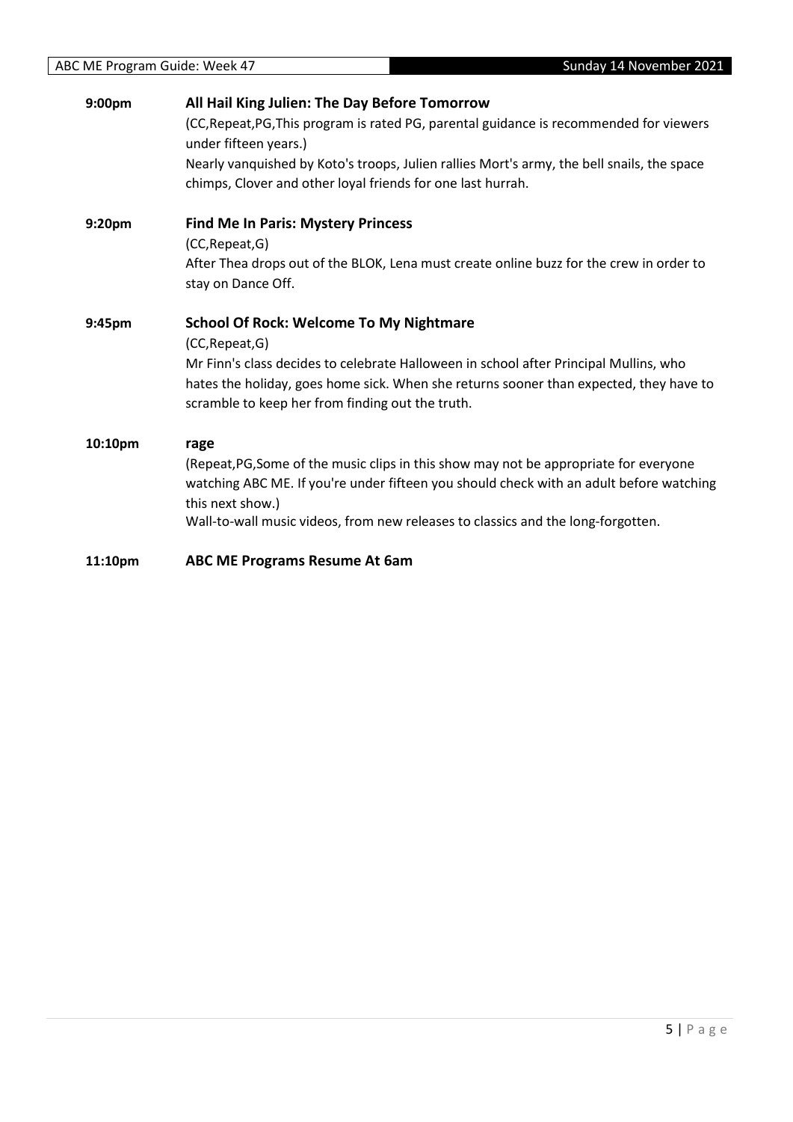| 9:00 <sub>pm</sub> | All Hail King Julien: The Day Before Tomorrow<br>(CC, Repeat, PG, This program is rated PG, parental guidance is recommended for viewers<br>under fifteen years.)<br>Nearly vanquished by Koto's troops, Julien rallies Mort's army, the bell snails, the space                                          |
|--------------------|----------------------------------------------------------------------------------------------------------------------------------------------------------------------------------------------------------------------------------------------------------------------------------------------------------|
| 9:20pm             | chimps, Clover and other loyal friends for one last hurrah.<br><b>Find Me In Paris: Mystery Princess</b><br>(CC, Repeat, G)<br>After Thea drops out of the BLOK, Lena must create online buzz for the crew in order to<br>stay on Dance Off.                                                             |
| 9:45pm             | <b>School Of Rock: Welcome To My Nightmare</b><br>(CC, Repeat, G)<br>Mr Finn's class decides to celebrate Halloween in school after Principal Mullins, who<br>hates the holiday, goes home sick. When she returns sooner than expected, they have to<br>scramble to keep her from finding out the truth. |
| 10:10pm            | rage<br>(Repeat, PG, Some of the music clips in this show may not be appropriate for everyone<br>watching ABC ME. If you're under fifteen you should check with an adult before watching<br>this next show.)<br>Wall-to-wall music videos, from new releases to classics and the long-forgotten.         |
| 11:10pm            | <b>ABC ME Programs Resume At 6am</b>                                                                                                                                                                                                                                                                     |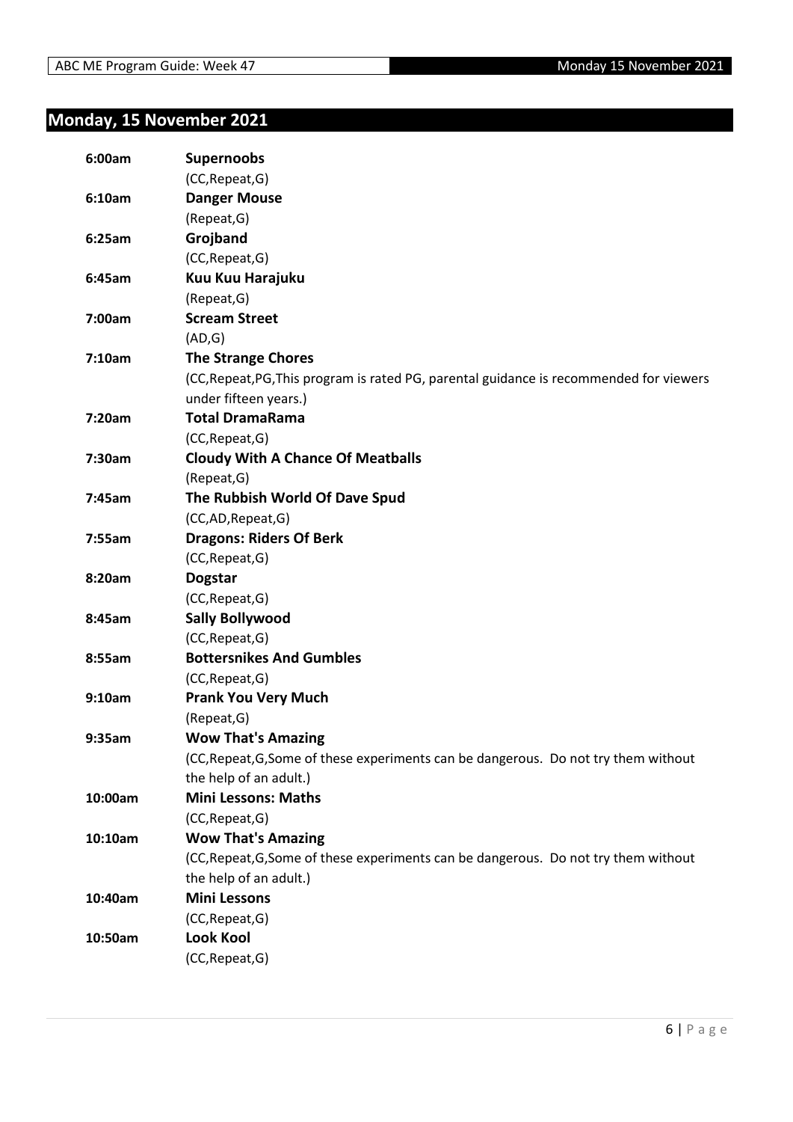### <span id="page-5-0"></span>**Monday, 15 November 2021**

| 6:00am  | <b>Supernoobs</b>                                                                       |
|---------|-----------------------------------------------------------------------------------------|
|         | (CC, Repeat, G)                                                                         |
| 6:10am  | <b>Danger Mouse</b>                                                                     |
|         | (Repeat, G)                                                                             |
| 6:25am  | Grojband                                                                                |
|         | (CC, Repeat, G)                                                                         |
| 6:45am  | Kuu Kuu Harajuku                                                                        |
|         | (Repeat, G)                                                                             |
| 7:00am  | <b>Scream Street</b>                                                                    |
|         | (AD,G)                                                                                  |
| 7:10am  | <b>The Strange Chores</b>                                                               |
|         | (CC, Repeat, PG, This program is rated PG, parental guidance is recommended for viewers |
|         | under fifteen years.)                                                                   |
| 7:20am  | <b>Total DramaRama</b>                                                                  |
|         | (CC, Repeat, G)                                                                         |
| 7:30am  | <b>Cloudy With A Chance Of Meatballs</b>                                                |
|         | (Repeat, G)                                                                             |
| 7:45am  | The Rubbish World Of Dave Spud                                                          |
|         | (CC,AD,Repeat,G)                                                                        |
| 7:55am  | <b>Dragons: Riders Of Berk</b>                                                          |
|         | (CC, Repeat, G)                                                                         |
| 8:20am  | <b>Dogstar</b>                                                                          |
|         | (CC, Repeat, G)                                                                         |
| 8:45am  | <b>Sally Bollywood</b>                                                                  |
|         | (CC, Repeat, G)                                                                         |
| 8:55am  | <b>Bottersnikes And Gumbles</b>                                                         |
|         | (CC, Repeat, G)                                                                         |
| 9:10am  | <b>Prank You Very Much</b>                                                              |
|         | (Repeat, G)                                                                             |
| 9:35am  | <b>Wow That's Amazing</b>                                                               |
|         | (CC, Repeat, G, Some of these experiments can be dangerous. Do not try them without     |
|         | the help of an adult.)                                                                  |
| 10:00am | <b>Mini Lessons: Maths</b>                                                              |
|         | (CC, Repeat, G)                                                                         |
| 10:10am | <b>Wow That's Amazing</b>                                                               |
|         | (CC, Repeat, G, Some of these experiments can be dangerous. Do not try them without     |
|         | the help of an adult.)                                                                  |
| 10:40am | <b>Mini Lessons</b>                                                                     |
|         | (CC, Repeat, G)                                                                         |
| 10:50am | <b>Look Kool</b>                                                                        |
|         | (CC, Repeat, G)                                                                         |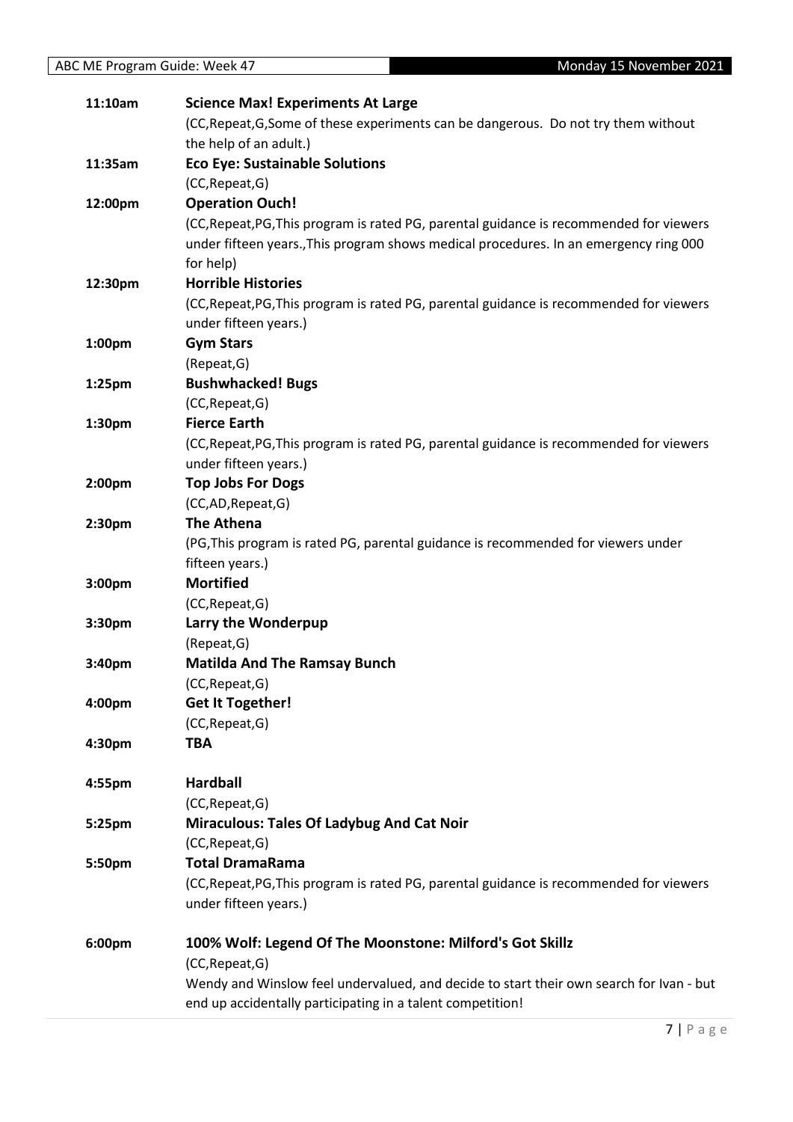| 11:10am   | <b>Science Max! Experiments At Large</b>                                                |
|-----------|-----------------------------------------------------------------------------------------|
|           | (CC, Repeat, G, Some of these experiments can be dangerous. Do not try them without     |
|           | the help of an adult.)                                                                  |
| 11:35am   | <b>Eco Eye: Sustainable Solutions</b>                                                   |
|           | (CC, Repeat, G)                                                                         |
| 12:00pm   | <b>Operation Ouch!</b>                                                                  |
|           | (CC, Repeat, PG, This program is rated PG, parental guidance is recommended for viewers |
|           | under fifteen years., This program shows medical procedures. In an emergency ring 000   |
|           | for help)                                                                               |
| 12:30pm   | <b>Horrible Histories</b>                                                               |
|           | (CC, Repeat, PG, This program is rated PG, parental guidance is recommended for viewers |
|           | under fifteen years.)                                                                   |
| 1:00pm    | <b>Gym Stars</b>                                                                        |
|           | (Repeat, G)                                                                             |
| $1:25$ pm | <b>Bushwhacked! Bugs</b>                                                                |
|           | (CC, Repeat, G)                                                                         |
| 1:30pm    | <b>Fierce Earth</b>                                                                     |
|           | (CC, Repeat, PG, This program is rated PG, parental guidance is recommended for viewers |
|           | under fifteen years.)                                                                   |
| 2:00pm    | <b>Top Jobs For Dogs</b>                                                                |
|           | (CC,AD,Repeat,G)                                                                        |
| 2:30pm    | <b>The Athena</b>                                                                       |
|           | (PG, This program is rated PG, parental guidance is recommended for viewers under       |
|           | fifteen years.)                                                                         |
| 3:00pm    | <b>Mortified</b>                                                                        |
|           | (CC, Repeat, G)                                                                         |
| 3:30pm    | Larry the Wonderpup                                                                     |
|           | (Repeat, G)                                                                             |
| 3:40pm    | <b>Matilda And The Ramsay Bunch</b>                                                     |
|           | (CC, Repeat, G)                                                                         |
| 4:00pm    | <b>Get It Together!</b>                                                                 |
|           | (CC, Repeat, G)                                                                         |
| 4:30pm    | TBA                                                                                     |
|           |                                                                                         |
| 4:55pm    | <b>Hardball</b>                                                                         |
|           | (CC, Repeat, G)                                                                         |
| 5:25pm    | <b>Miraculous: Tales Of Ladybug And Cat Noir</b>                                        |
|           | (CC, Repeat, G)                                                                         |
| 5:50pm    | <b>Total DramaRama</b>                                                                  |
|           | (CC, Repeat, PG, This program is rated PG, parental guidance is recommended for viewers |
|           | under fifteen years.)                                                                   |
| 6:00pm    | 100% Wolf: Legend Of The Moonstone: Milford's Got Skillz                                |
|           | (CC, Repeat, G)                                                                         |
|           | Wendy and Winslow feel undervalued, and decide to start their own search for Ivan - but |
|           | end up accidentally participating in a talent competition!                              |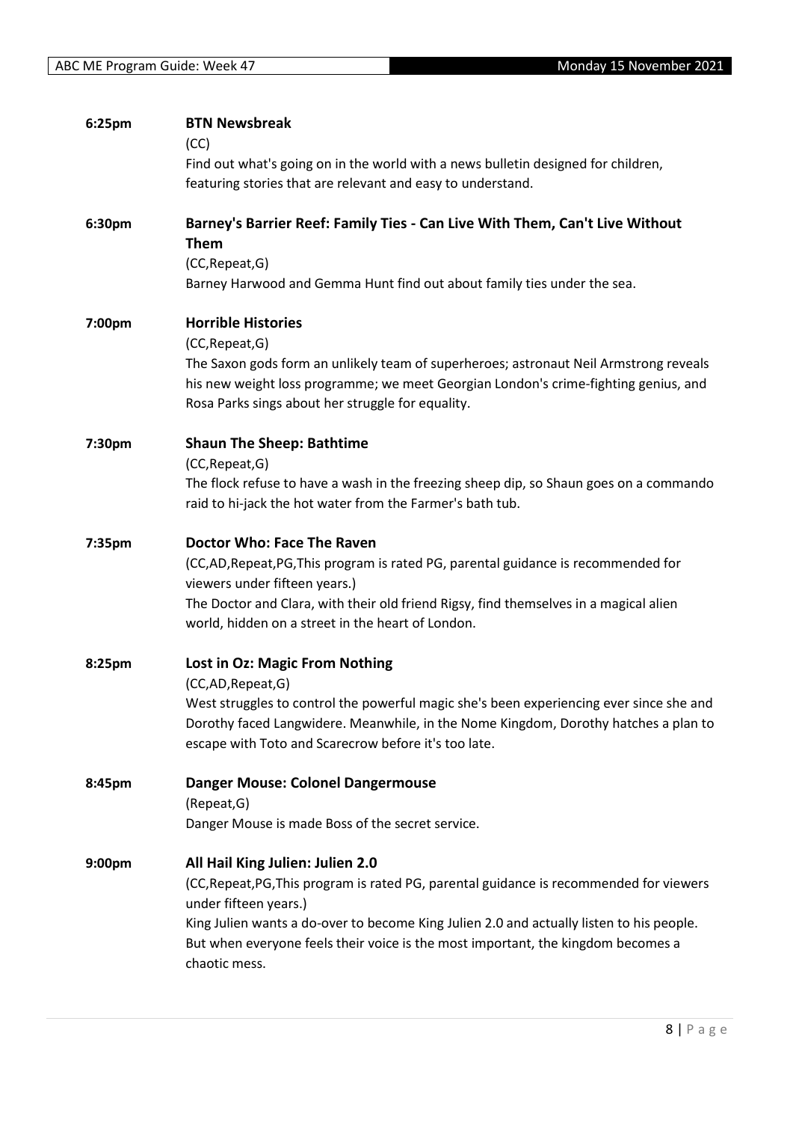| 6:25pm             | <b>BTN Newsbreak</b>                                                                     |
|--------------------|------------------------------------------------------------------------------------------|
|                    | (CC)                                                                                     |
|                    | Find out what's going on in the world with a news bulletin designed for children,        |
|                    | featuring stories that are relevant and easy to understand.                              |
|                    |                                                                                          |
| 6:30pm             | Barney's Barrier Reef: Family Ties - Can Live With Them, Can't Live Without              |
|                    | <b>Them</b>                                                                              |
|                    | (CC, Repeat, G)                                                                          |
|                    | Barney Harwood and Gemma Hunt find out about family ties under the sea.                  |
|                    |                                                                                          |
| 7:00pm             | <b>Horrible Histories</b>                                                                |
|                    | (CC, Repeat, G)                                                                          |
|                    | The Saxon gods form an unlikely team of superheroes; astronaut Neil Armstrong reveals    |
|                    | his new weight loss programme; we meet Georgian London's crime-fighting genius, and      |
|                    |                                                                                          |
|                    | Rosa Parks sings about her struggle for equality.                                        |
| 7:30pm             | <b>Shaun The Sheep: Bathtime</b>                                                         |
|                    |                                                                                          |
|                    | (CC, Repeat, G)                                                                          |
|                    | The flock refuse to have a wash in the freezing sheep dip, so Shaun goes on a commando   |
|                    | raid to hi-jack the hot water from the Farmer's bath tub.                                |
| 7:35pm             | Doctor Who: Face The Raven                                                               |
|                    | (CC,AD,Repeat,PG,This program is rated PG, parental guidance is recommended for          |
|                    | viewers under fifteen years.)                                                            |
|                    |                                                                                          |
|                    | The Doctor and Clara, with their old friend Rigsy, find themselves in a magical alien    |
|                    | world, hidden on a street in the heart of London.                                        |
| 8:25pm             | Lost in Oz: Magic From Nothing                                                           |
|                    | (CC,AD,Repeat,G)                                                                         |
|                    | West struggles to control the powerful magic she's been experiencing ever since she and  |
|                    |                                                                                          |
|                    | Dorothy faced Langwidere. Meanwhile, in the Nome Kingdom, Dorothy hatches a plan to      |
|                    | escape with Toto and Scarecrow before it's too late.                                     |
| 8:45pm             | <b>Danger Mouse: Colonel Dangermouse</b>                                                 |
|                    | (Repeat, G)                                                                              |
|                    | Danger Mouse is made Boss of the secret service.                                         |
|                    |                                                                                          |
| 9:00 <sub>pm</sub> | All Hail King Julien: Julien 2.0                                                         |
|                    | (CC, Repeat, PG, This program is rated PG, parental guidance is recommended for viewers  |
|                    | under fifteen years.)                                                                    |
|                    | King Julien wants a do-over to become King Julien 2.0 and actually listen to his people. |
|                    | But when everyone feels their voice is the most important, the kingdom becomes a         |
|                    |                                                                                          |
|                    | chaotic mess.                                                                            |
|                    |                                                                                          |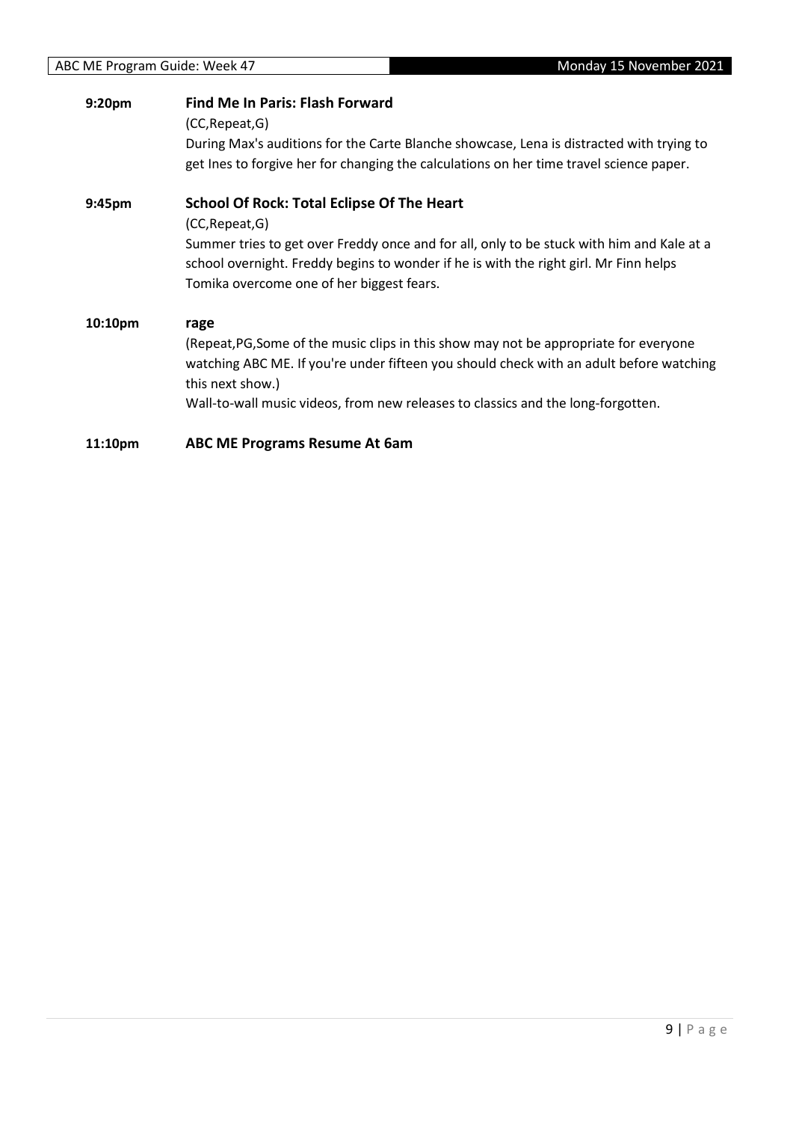#### **9:20pm Find Me In Paris: Flash Forward** (CC,Repeat,G) During Max's auditions for the Carte Blanche showcase, Lena is distracted with trying to get Ines to forgive her for changing the calculations on her time travel science paper. **9:45pm School Of Rock: Total Eclipse Of The Heart** (CC,Repeat,G) Summer tries to get over Freddy once and for all, only to be stuck with him and Kale at a school overnight. Freddy begins to wonder if he is with the right girl. Mr Finn helps Tomika overcome one of her biggest fears. **10:10pm rage** (Repeat,PG,Some of the music clips in this show may not be appropriate for everyone watching ABC ME. If you're under fifteen you should check with an adult before watching this next show.) Wall-to-wall music videos, from new releases to classics and the long-forgotten.

#### **11:10pm ABC ME Programs Resume At 6am**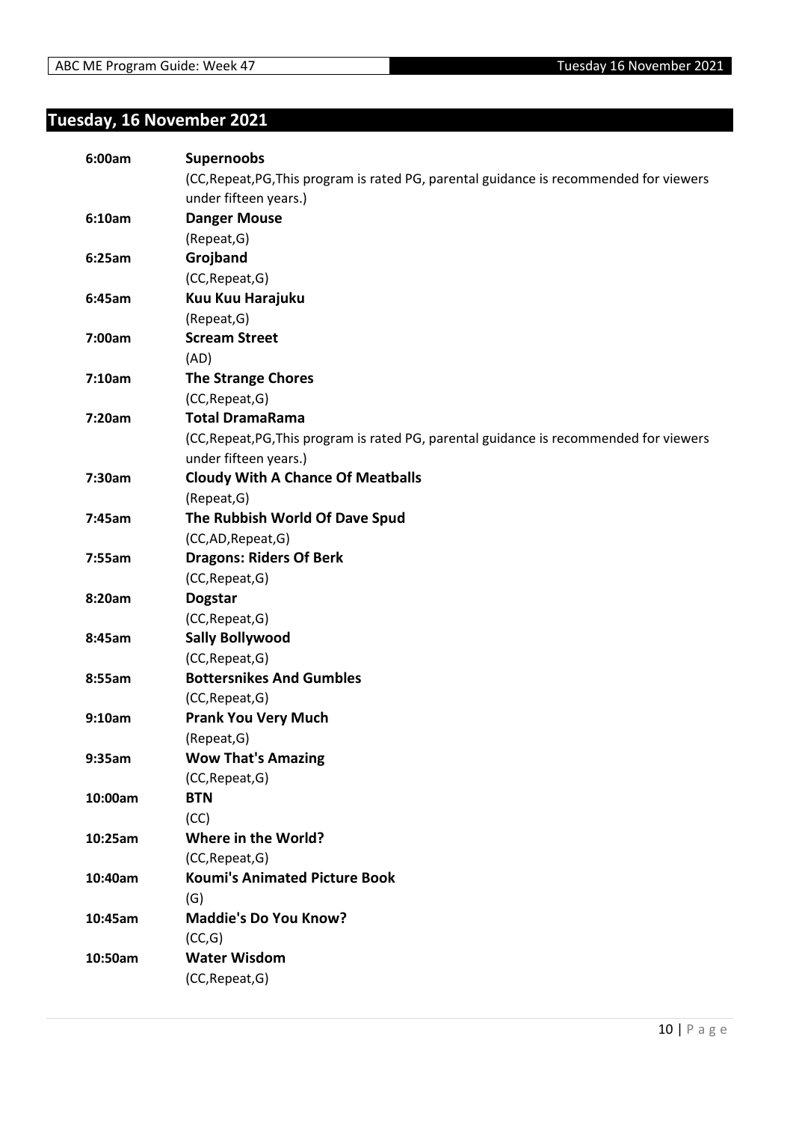### <span id="page-9-0"></span>**Tuesday, 16 November 2021**

| 6:00am  | <b>Supernoobs</b>                                                                       |
|---------|-----------------------------------------------------------------------------------------|
|         | (CC, Repeat, PG, This program is rated PG, parental guidance is recommended for viewers |
|         | under fifteen years.)                                                                   |
| 6:10am  | <b>Danger Mouse</b>                                                                     |
|         | (Repeat, G)                                                                             |
| 6:25am  | Grojband                                                                                |
|         | (CC, Repeat, G)                                                                         |
| 6:45am  | Kuu Kuu Harajuku                                                                        |
|         | (Repeat, G)                                                                             |
| 7:00am  | <b>Scream Street</b>                                                                    |
|         | (AD)                                                                                    |
| 7:10am  | <b>The Strange Chores</b>                                                               |
|         | (CC, Repeat, G)                                                                         |
| 7:20am  | <b>Total DramaRama</b>                                                                  |
|         | (CC, Repeat, PG, This program is rated PG, parental guidance is recommended for viewers |
|         | under fifteen years.)                                                                   |
| 7:30am  | <b>Cloudy With A Chance Of Meatballs</b>                                                |
|         | (Repeat, G)                                                                             |
| 7:45am  | The Rubbish World Of Dave Spud                                                          |
|         | (CC,AD,Repeat,G)                                                                        |
| 7:55am  | <b>Dragons: Riders Of Berk</b>                                                          |
|         | (CC, Repeat, G)                                                                         |
| 8:20am  | <b>Dogstar</b>                                                                          |
|         | (CC, Repeat, G)                                                                         |
| 8:45am  | <b>Sally Bollywood</b>                                                                  |
|         | (CC, Repeat, G)                                                                         |
| 8:55am  | <b>Bottersnikes And Gumbles</b>                                                         |
|         | (CC, Repeat, G)                                                                         |
| 9:10am  | <b>Prank You Very Much</b>                                                              |
|         | (Repeat, G)                                                                             |
| 9:35am  | <b>Wow That's Amazing</b>                                                               |
|         | (CC, Repeat, G)                                                                         |
| 10:00am | <b>BTN</b>                                                                              |
|         | (CC)                                                                                    |
| 10:25am | Where in the World?                                                                     |
|         | (CC, Repeat, G)                                                                         |
| 10:40am | <b>Koumi's Animated Picture Book</b>                                                    |
|         | (G)                                                                                     |
| 10:45am | <b>Maddie's Do You Know?</b>                                                            |
|         | (CC,G)                                                                                  |
| 10:50am | <b>Water Wisdom</b>                                                                     |
|         | (CC, Repeat, G)                                                                         |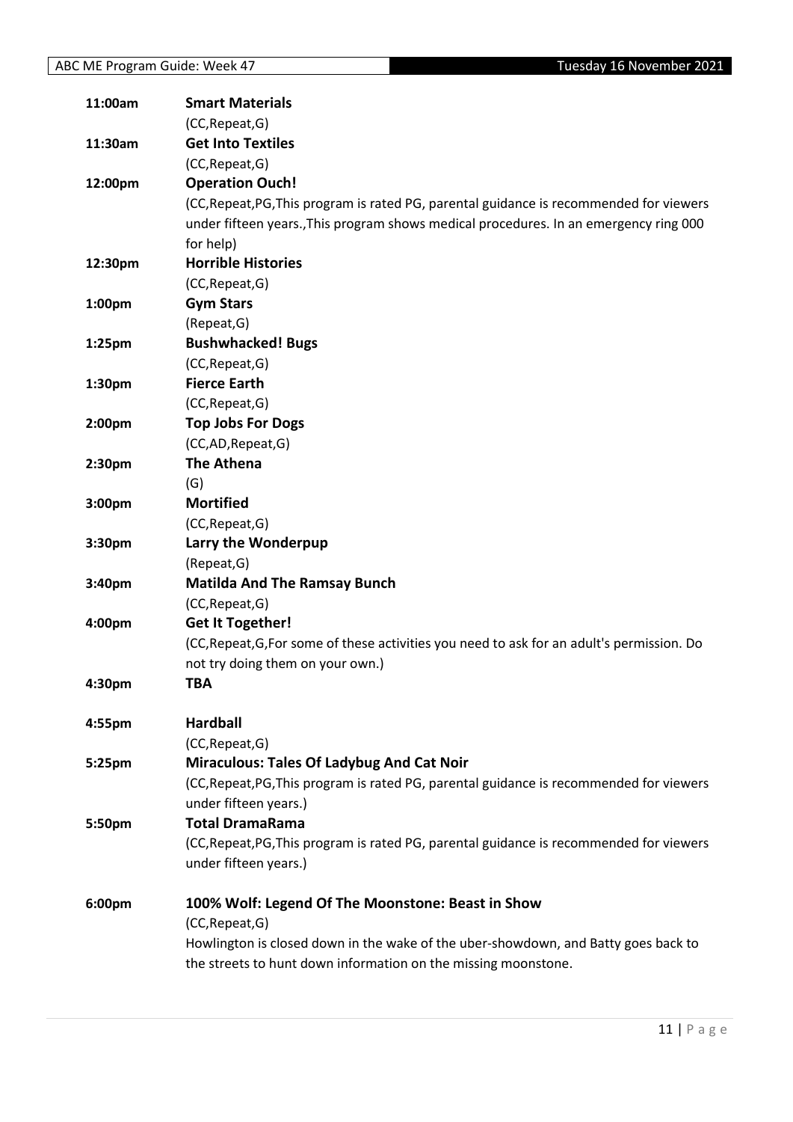| 11:00am            | <b>Smart Materials</b>                                                                     |
|--------------------|--------------------------------------------------------------------------------------------|
|                    | (CC, Repeat, G)                                                                            |
| 11:30am            | <b>Get Into Textiles</b>                                                                   |
|                    | (CC, Repeat, G)                                                                            |
| 12:00pm            | <b>Operation Ouch!</b>                                                                     |
|                    | (CC, Repeat, PG, This program is rated PG, parental guidance is recommended for viewers    |
|                    | under fifteen years., This program shows medical procedures. In an emergency ring 000      |
|                    | for help)                                                                                  |
| 12:30pm            | <b>Horrible Histories</b>                                                                  |
|                    | (CC, Repeat, G)                                                                            |
| 1:00 <sub>pm</sub> | <b>Gym Stars</b>                                                                           |
|                    | (Repeat, G)                                                                                |
| 1:25pm             | <b>Bushwhacked! Bugs</b>                                                                   |
|                    | (CC, Repeat, G)                                                                            |
| 1:30pm             | <b>Fierce Earth</b>                                                                        |
|                    | (CC, Repeat, G)                                                                            |
| 2:00pm             | <b>Top Jobs For Dogs</b>                                                                   |
|                    | (CC,AD,Repeat,G)                                                                           |
| 2:30pm             | <b>The Athena</b>                                                                          |
|                    | (G)                                                                                        |
| 3:00pm             | <b>Mortified</b>                                                                           |
|                    | (CC, Repeat, G)                                                                            |
| 3:30pm             | Larry the Wonderpup                                                                        |
|                    | (Repeat, G)                                                                                |
| 3:40pm             | <b>Matilda And The Ramsay Bunch</b>                                                        |
|                    | (CC, Repeat, G)                                                                            |
| 4:00pm             | <b>Get It Together!</b>                                                                    |
|                    | (CC, Repeat, G, For some of these activities you need to ask for an adult's permission. Do |
|                    | not try doing them on your own.)                                                           |
| 4:30pm             | <b>TBA</b>                                                                                 |
|                    |                                                                                            |
| 4:55pm             | <b>Hardball</b>                                                                            |
|                    | (CC, Repeat, G)                                                                            |
| 5:25pm             | <b>Miraculous: Tales Of Ladybug And Cat Noir</b>                                           |
|                    | (CC, Repeat, PG, This program is rated PG, parental guidance is recommended for viewers    |
|                    | under fifteen years.)                                                                      |
| 5:50pm             | <b>Total DramaRama</b>                                                                     |
|                    | (CC, Repeat, PG, This program is rated PG, parental guidance is recommended for viewers    |
|                    | under fifteen years.)                                                                      |
|                    |                                                                                            |
| 6:00pm             | 100% Wolf: Legend Of The Moonstone: Beast in Show                                          |
|                    | (CC, Repeat, G)                                                                            |
|                    | Howlington is closed down in the wake of the uber-showdown, and Batty goes back to         |
|                    | the streets to hunt down information on the missing moonstone.                             |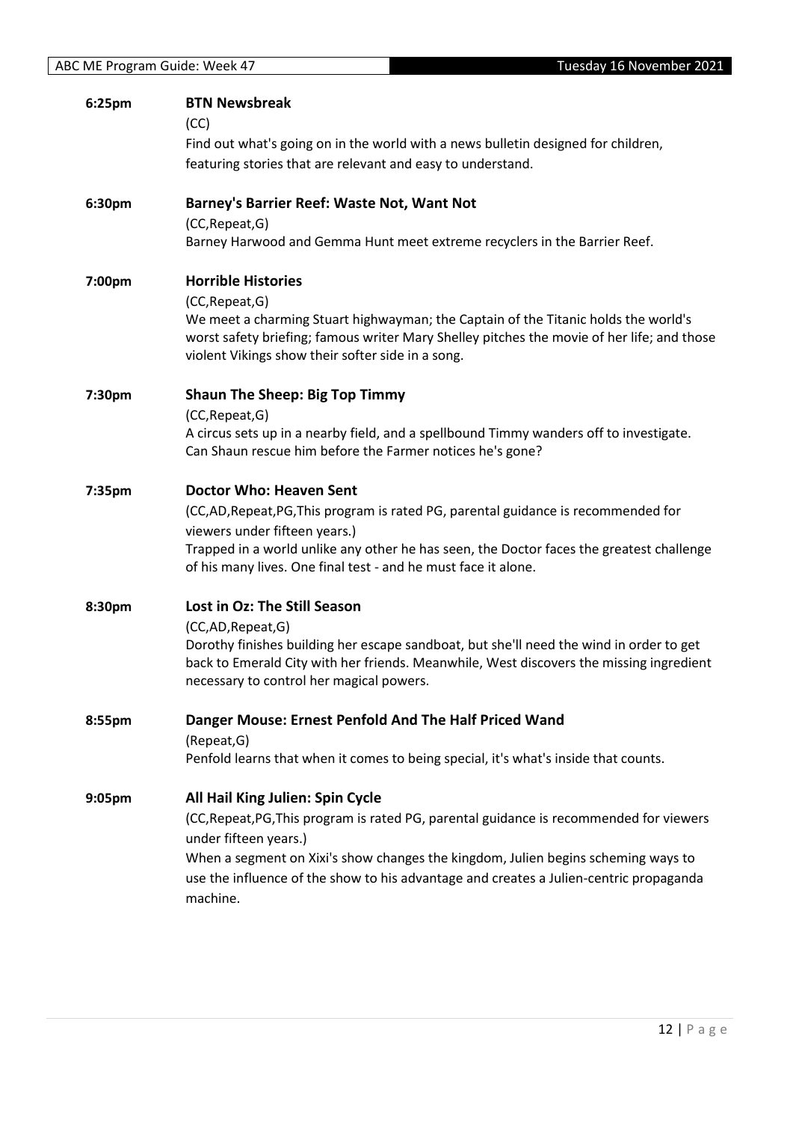| <b>BTN Newsbreak</b><br>(CC)                                                                                                                                                                                                                                                                                                                    |
|-------------------------------------------------------------------------------------------------------------------------------------------------------------------------------------------------------------------------------------------------------------------------------------------------------------------------------------------------|
| Find out what's going on in the world with a news bulletin designed for children,<br>featuring stories that are relevant and easy to understand.                                                                                                                                                                                                |
| <b>Barney's Barrier Reef: Waste Not, Want Not</b><br>(CC, Repeat, G)                                                                                                                                                                                                                                                                            |
| Barney Harwood and Gemma Hunt meet extreme recyclers in the Barrier Reef.                                                                                                                                                                                                                                                                       |
| <b>Horrible Histories</b><br>(CC, Repeat, G)<br>We meet a charming Stuart highwayman; the Captain of the Titanic holds the world's<br>worst safety briefing; famous writer Mary Shelley pitches the movie of her life; and those<br>violent Vikings show their softer side in a song.                                                           |
| <b>Shaun The Sheep: Big Top Timmy</b>                                                                                                                                                                                                                                                                                                           |
| (CC, Repeat, G)<br>A circus sets up in a nearby field, and a spellbound Timmy wanders off to investigate.<br>Can Shaun rescue him before the Farmer notices he's gone?                                                                                                                                                                          |
| <b>Doctor Who: Heaven Sent</b>                                                                                                                                                                                                                                                                                                                  |
| (CC,AD,Repeat,PG,This program is rated PG, parental guidance is recommended for<br>viewers under fifteen years.)                                                                                                                                                                                                                                |
| Trapped in a world unlike any other he has seen, the Doctor faces the greatest challenge<br>of his many lives. One final test - and he must face it alone.                                                                                                                                                                                      |
| Lost in Oz: The Still Season                                                                                                                                                                                                                                                                                                                    |
| (CC,AD,Repeat,G)<br>Dorothy finishes building her escape sandboat, but she'll need the wind in order to get<br>back to Emerald City with her friends. Meanwhile, West discovers the missing ingredient<br>necessary to control her magical powers.                                                                                              |
| Danger Mouse: Ernest Penfold And The Half Priced Wand                                                                                                                                                                                                                                                                                           |
| (Repeat, G)<br>Penfold learns that when it comes to being special, it's what's inside that counts.                                                                                                                                                                                                                                              |
| All Hail King Julien: Spin Cycle<br>(CC, Repeat, PG, This program is rated PG, parental guidance is recommended for viewers<br>under fifteen years.)<br>When a segment on Xixi's show changes the kingdom, Julien begins scheming ways to<br>use the influence of the show to his advantage and creates a Julien-centric propaganda<br>machine. |
|                                                                                                                                                                                                                                                                                                                                                 |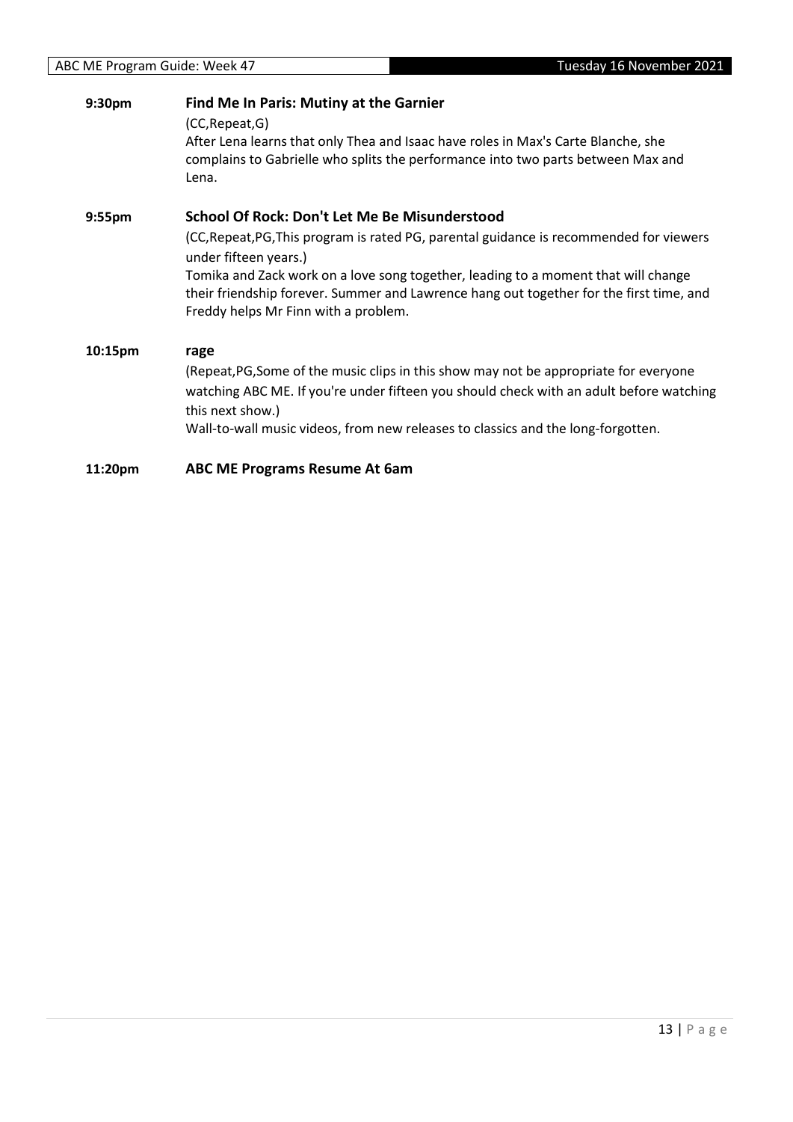| 9:30pm  | Find Me In Paris: Mutiny at the Garnier<br>(CC, Repeat, G)<br>After Lena learns that only Thea and Isaac have roles in Max's Carte Blanche, she                               |
|---------|-------------------------------------------------------------------------------------------------------------------------------------------------------------------------------|
|         | complains to Gabrielle who splits the performance into two parts between Max and<br>Lena.                                                                                     |
| 9:55pm  | School Of Rock: Don't Let Me Be Misunderstood                                                                                                                                 |
|         | (CC, Repeat, PG, This program is rated PG, parental guidance is recommended for viewers<br>under fifteen years.)                                                              |
|         | Tomika and Zack work on a love song together, leading to a moment that will change<br>their friendship forever. Summer and Lawrence hang out together for the first time, and |
|         | Freddy helps Mr Finn with a problem.                                                                                                                                          |
| 10:15pm | rage                                                                                                                                                                          |
|         | (Repeat, PG, Some of the music clips in this show may not be appropriate for everyone                                                                                         |
|         | watching ABC ME. If you're under fifteen you should check with an adult before watching<br>this next show.)                                                                   |
|         | Wall-to-wall music videos, from new releases to classics and the long-forgotten.                                                                                              |
| 11:20pm | <b>ABC ME Programs Resume At 6am</b>                                                                                                                                          |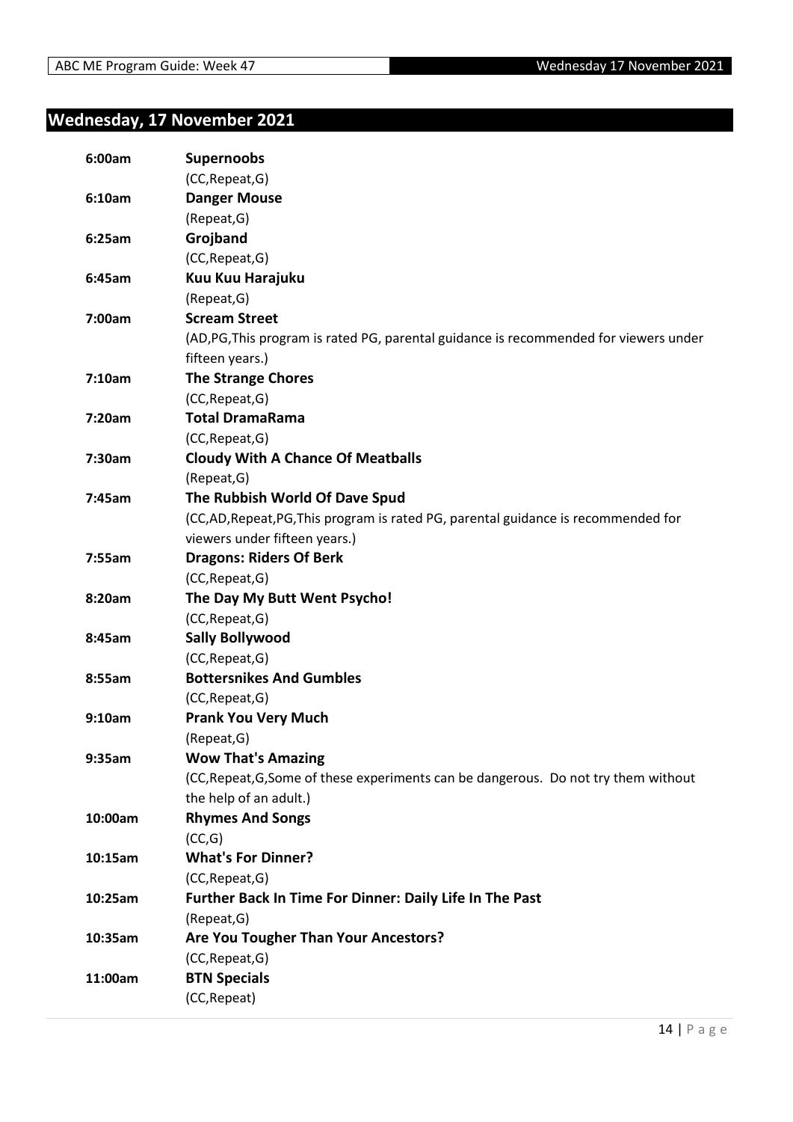### <span id="page-13-0"></span>**Wednesday, 17 November 2021**

| 6:00am  | <b>Supernoobs</b>                                                                     |
|---------|---------------------------------------------------------------------------------------|
|         | (CC, Repeat, G)                                                                       |
| 6:10am  | <b>Danger Mouse</b>                                                                   |
|         | (Repeat, G)                                                                           |
| 6:25am  | Grojband                                                                              |
|         | (CC, Repeat, G)                                                                       |
| 6:45am  | Kuu Kuu Harajuku                                                                      |
|         | (Repeat, G)                                                                           |
| 7:00am  | <b>Scream Street</b>                                                                  |
|         | (AD, PG, This program is rated PG, parental guidance is recommended for viewers under |
|         | fifteen years.)                                                                       |
| 7:10am  | <b>The Strange Chores</b>                                                             |
|         | (CC, Repeat, G)                                                                       |
| 7:20am  | <b>Total DramaRama</b>                                                                |
|         | (CC, Repeat, G)                                                                       |
| 7:30am  | <b>Cloudy With A Chance Of Meatballs</b>                                              |
|         | (Repeat, G)                                                                           |
| 7:45am  | The Rubbish World Of Dave Spud                                                        |
|         | (CC,AD,Repeat,PG,This program is rated PG, parental guidance is recommended for       |
|         | viewers under fifteen years.)                                                         |
| 7:55am  | <b>Dragons: Riders Of Berk</b>                                                        |
|         | (CC, Repeat, G)                                                                       |
| 8:20am  | The Day My Butt Went Psycho!                                                          |
|         | (CC, Repeat, G)                                                                       |
| 8:45am  | <b>Sally Bollywood</b>                                                                |
|         | (CC, Repeat, G)                                                                       |
| 8:55am  | <b>Bottersnikes And Gumbles</b>                                                       |
|         | (CC, Repeat, G)                                                                       |
| 9:10am  | <b>Prank You Very Much</b>                                                            |
|         | (Repeat,G)                                                                            |
| 9:35am  | <b>Wow That's Amazing</b>                                                             |
|         | (CC, Repeat, G, Some of these experiments can be dangerous. Do not try them without   |
|         | the help of an adult.)                                                                |
| 10:00am | <b>Rhymes And Songs</b>                                                               |
|         | (CC,G)                                                                                |
| 10:15am | <b>What's For Dinner?</b>                                                             |
|         | (CC, Repeat, G)                                                                       |
| 10:25am | Further Back In Time For Dinner: Daily Life In The Past                               |
|         | (Repeat, G)                                                                           |
| 10:35am | Are You Tougher Than Your Ancestors?                                                  |
|         | (CC, Repeat, G)                                                                       |
| 11:00am | <b>BTN Specials</b>                                                                   |
|         | (CC, Repeat)                                                                          |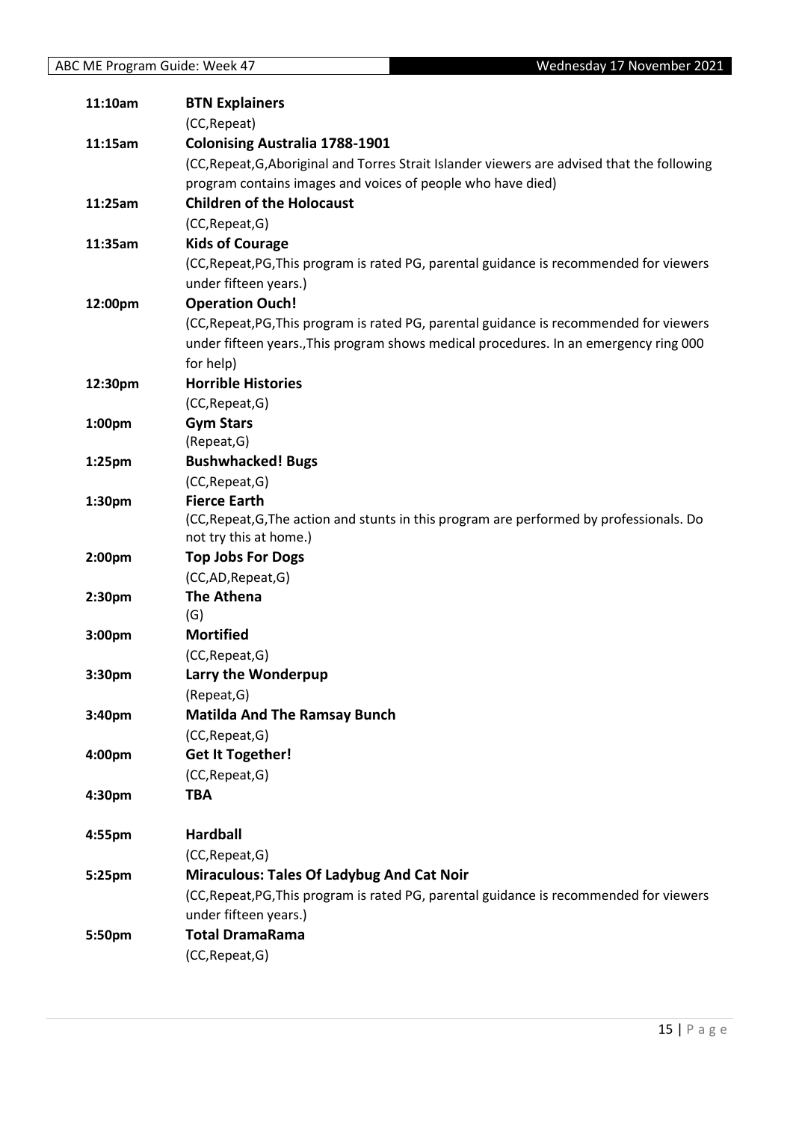| 11:10am            | <b>BTN Explainers</b>                                                                        |
|--------------------|----------------------------------------------------------------------------------------------|
|                    | (CC, Repeat)                                                                                 |
| 11:15am            | <b>Colonising Australia 1788-1901</b>                                                        |
|                    | (CC, Repeat, G, Aboriginal and Torres Strait Islander viewers are advised that the following |
|                    | program contains images and voices of people who have died)                                  |
| 11:25am            | <b>Children of the Holocaust</b>                                                             |
|                    | (CC, Repeat, G)                                                                              |
| 11:35am            | <b>Kids of Courage</b>                                                                       |
|                    | (CC, Repeat, PG, This program is rated PG, parental guidance is recommended for viewers      |
|                    | under fifteen years.)                                                                        |
| 12:00pm            | <b>Operation Ouch!</b>                                                                       |
|                    | (CC, Repeat, PG, This program is rated PG, parental guidance is recommended for viewers      |
|                    | under fifteen years., This program shows medical procedures. In an emergency ring 000        |
|                    | for help)                                                                                    |
| 12:30pm            | <b>Horrible Histories</b>                                                                    |
|                    | (CC, Repeat, G)                                                                              |
| 1:00 <sub>pm</sub> | <b>Gym Stars</b>                                                                             |
|                    | (Repeat, G)                                                                                  |
| $1:25$ pm          | <b>Bushwhacked! Bugs</b>                                                                     |
|                    | (CC, Repeat, G)                                                                              |
| 1:30pm             | <b>Fierce Earth</b>                                                                          |
|                    | (CC, Repeat, G, The action and stunts in this program are performed by professionals. Do     |
|                    | not try this at home.)                                                                       |
| 2:00pm             | <b>Top Jobs For Dogs</b>                                                                     |
|                    | (CC,AD,Repeat,G)                                                                             |
| 2:30pm             | <b>The Athena</b>                                                                            |
|                    | (G)                                                                                          |
| 3:00pm             | <b>Mortified</b>                                                                             |
|                    | (CC, Repeat, G)                                                                              |
| 3:30pm             | Larry the Wonderpup                                                                          |
|                    | (Repeat, G)                                                                                  |
| 3:40pm             | <b>Matilda And The Ramsay Bunch</b>                                                          |
|                    | (CC, Repeat, G)                                                                              |
| 4:00pm             | <b>Get It Together!</b>                                                                      |
|                    | (CC, Repeat, G)                                                                              |
| 4:30pm             | TBA                                                                                          |
| 4:55pm             | <b>Hardball</b>                                                                              |
|                    | (CC, Repeat, G)                                                                              |
| 5:25pm             | <b>Miraculous: Tales Of Ladybug And Cat Noir</b>                                             |
|                    | (CC, Repeat, PG, This program is rated PG, parental guidance is recommended for viewers      |
|                    | under fifteen years.)                                                                        |
| 5:50pm             | <b>Total DramaRama</b>                                                                       |
|                    | (CC, Repeat, G)                                                                              |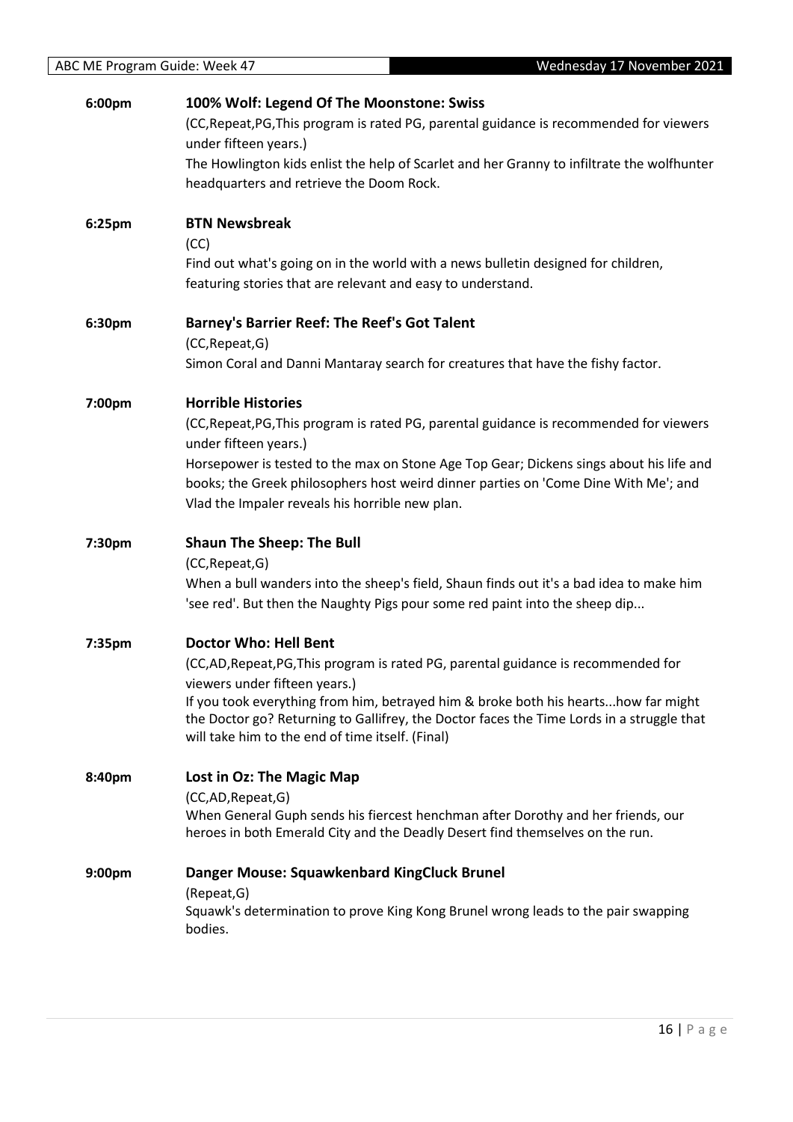| (CC, Repeat, PG, This program is rated PG, parental guidance is recommended for viewers<br>under fifteen years.)<br>The Howlington kids enlist the help of Scarlet and her Granny to infiltrate the wolfhunter |  |
|----------------------------------------------------------------------------------------------------------------------------------------------------------------------------------------------------------------|--|
|                                                                                                                                                                                                                |  |
|                                                                                                                                                                                                                |  |
|                                                                                                                                                                                                                |  |
| headquarters and retrieve the Doom Rock.                                                                                                                                                                       |  |
| <b>BTN Newsbreak</b><br>6:25pm                                                                                                                                                                                 |  |
| (CC)                                                                                                                                                                                                           |  |
| Find out what's going on in the world with a news bulletin designed for children,                                                                                                                              |  |
| featuring stories that are relevant and easy to understand.                                                                                                                                                    |  |
| <b>Barney's Barrier Reef: The Reef's Got Talent</b><br>6:30pm                                                                                                                                                  |  |
| (CC, Repeat, G)                                                                                                                                                                                                |  |
| Simon Coral and Danni Mantaray search for creatures that have the fishy factor.                                                                                                                                |  |
| <b>Horrible Histories</b><br>7:00pm                                                                                                                                                                            |  |
|                                                                                                                                                                                                                |  |
| (CC, Repeat, PG, This program is rated PG, parental guidance is recommended for viewers                                                                                                                        |  |
| under fifteen years.)                                                                                                                                                                                          |  |
| Horsepower is tested to the max on Stone Age Top Gear; Dickens sings about his life and                                                                                                                        |  |
| books; the Greek philosophers host weird dinner parties on 'Come Dine With Me'; and                                                                                                                            |  |
| Vlad the Impaler reveals his horrible new plan.                                                                                                                                                                |  |
| <b>Shaun The Sheep: The Bull</b><br>7:30pm                                                                                                                                                                     |  |
| (CC, Repeat, G)                                                                                                                                                                                                |  |
| When a bull wanders into the sheep's field, Shaun finds out it's a bad idea to make him                                                                                                                        |  |
| 'see red'. But then the Naughty Pigs pour some red paint into the sheep dip                                                                                                                                    |  |
| <b>Doctor Who: Hell Bent</b><br>7:35pm                                                                                                                                                                         |  |
| (CC,AD,Repeat,PG,This program is rated PG, parental guidance is recommended for                                                                                                                                |  |
| viewers under fifteen years.)                                                                                                                                                                                  |  |
| If you took everything from him, betrayed him & broke both his heartshow far might                                                                                                                             |  |
| the Doctor go? Returning to Gallifrey, the Doctor faces the Time Lords in a struggle that<br>will take him to the end of time itself. (Final)                                                                  |  |
|                                                                                                                                                                                                                |  |
| Lost in Oz: The Magic Map<br>8:40pm<br>(CC,AD, Repeat, G)                                                                                                                                                      |  |
| When General Guph sends his fiercest henchman after Dorothy and her friends, our                                                                                                                               |  |
| heroes in both Emerald City and the Deadly Desert find themselves on the run.                                                                                                                                  |  |
| Danger Mouse: Squawkenbard KingCluck Brunel<br>9:00pm                                                                                                                                                          |  |
| (Repeat, G)                                                                                                                                                                                                    |  |
| Squawk's determination to prove King Kong Brunel wrong leads to the pair swapping<br>bodies.                                                                                                                   |  |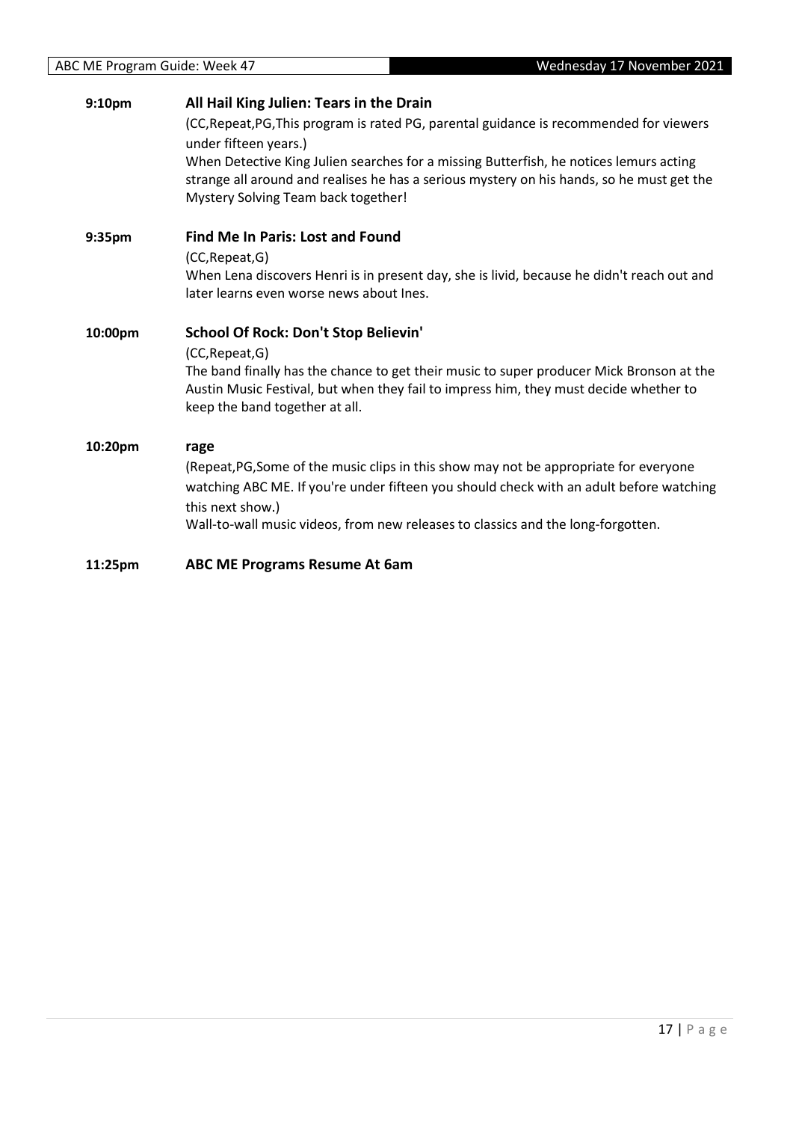| 9:10pm  | All Hail King Julien: Tears in the Drain<br>(CC, Repeat, PG, This program is rated PG, parental guidance is recommended for viewers<br>under fifteen years.)<br>When Detective King Julien searches for a missing Butterfish, he notices lemurs acting<br>strange all around and realises he has a serious mystery on his hands, so he must get the<br>Mystery Solving Team back together! |
|---------|--------------------------------------------------------------------------------------------------------------------------------------------------------------------------------------------------------------------------------------------------------------------------------------------------------------------------------------------------------------------------------------------|
| 9:35pm  | <b>Find Me In Paris: Lost and Found</b><br>(CC, Repeat, G)<br>When Lena discovers Henri is in present day, she is livid, because he didn't reach out and<br>later learns even worse news about Ines.                                                                                                                                                                                       |
| 10:00pm | School Of Rock: Don't Stop Believin'<br>(CC, Repeat, G)<br>The band finally has the chance to get their music to super producer Mick Bronson at the<br>Austin Music Festival, but when they fail to impress him, they must decide whether to<br>keep the band together at all.                                                                                                             |
| 10:20pm | rage<br>(Repeat, PG, Some of the music clips in this show may not be appropriate for everyone<br>watching ABC ME. If you're under fifteen you should check with an adult before watching<br>this next show.)<br>Wall-to-wall music videos, from new releases to classics and the long-forgotten.                                                                                           |
| 11:25pm | <b>ABC ME Programs Resume At 6am</b>                                                                                                                                                                                                                                                                                                                                                       |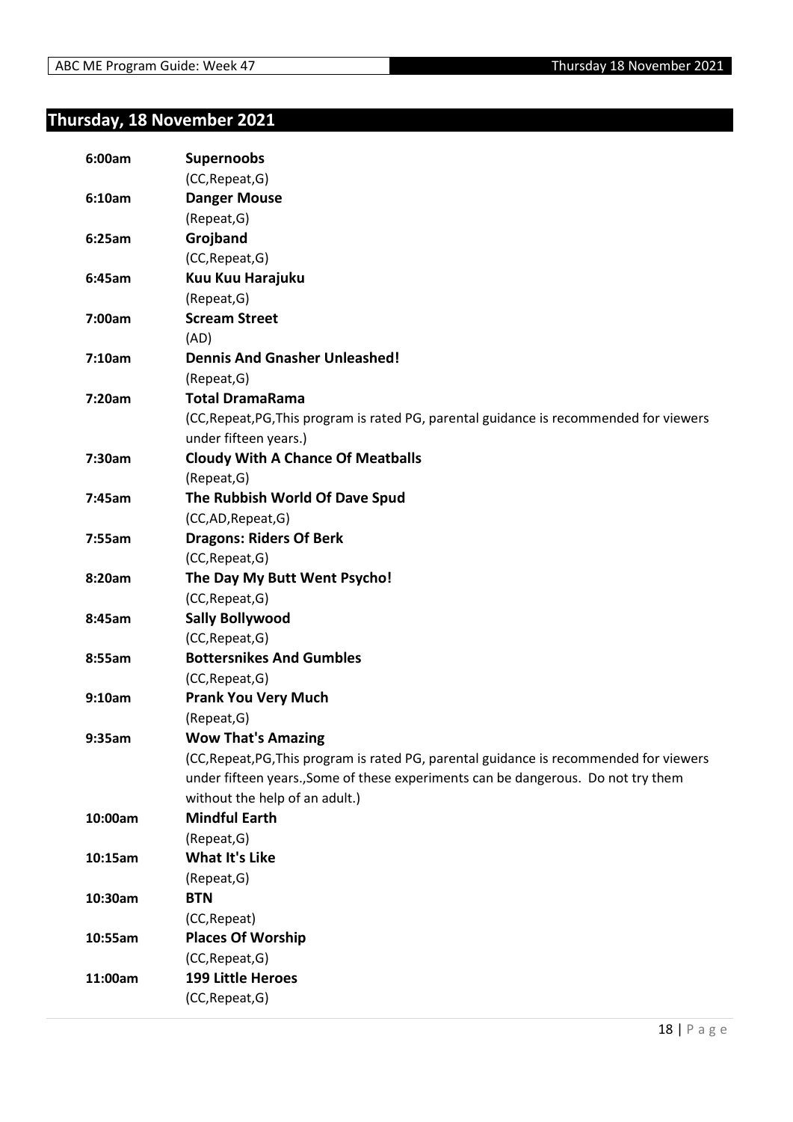### <span id="page-17-0"></span>**Thursday, 18 November 2021**

| 6:00am  | <b>Supernoobs</b>                                                                       |
|---------|-----------------------------------------------------------------------------------------|
|         | (CC, Repeat, G)                                                                         |
| 6:10am  | <b>Danger Mouse</b>                                                                     |
|         | (Repeat, G)                                                                             |
| 6:25am  | Grojband                                                                                |
|         | (CC, Repeat, G)                                                                         |
| 6:45am  | Kuu Kuu Harajuku                                                                        |
|         | (Repeat, G)                                                                             |
| 7:00am  | <b>Scream Street</b>                                                                    |
|         | (AD)                                                                                    |
| 7:10am  | <b>Dennis And Gnasher Unleashed!</b>                                                    |
|         | (Repeat, G)                                                                             |
| 7:20am  | <b>Total DramaRama</b>                                                                  |
|         | (CC, Repeat, PG, This program is rated PG, parental guidance is recommended for viewers |
|         | under fifteen years.)                                                                   |
| 7:30am  | <b>Cloudy With A Chance Of Meatballs</b>                                                |
|         | (Repeat, G)                                                                             |
| 7:45am  | The Rubbish World Of Dave Spud                                                          |
|         | (CC,AD,Repeat,G)                                                                        |
| 7:55am  | <b>Dragons: Riders Of Berk</b>                                                          |
|         | (CC, Repeat, G)                                                                         |
| 8:20am  | The Day My Butt Went Psycho!                                                            |
|         | (CC, Repeat, G)                                                                         |
| 8:45am  | <b>Sally Bollywood</b>                                                                  |
|         | (CC, Repeat, G)                                                                         |
| 8:55am  | <b>Bottersnikes And Gumbles</b>                                                         |
|         | (CC, Repeat, G)                                                                         |
| 9:10am  | <b>Prank You Very Much</b>                                                              |
|         | (Repeat, G)                                                                             |
| 9:35am  | <b>Wow That's Amazing</b>                                                               |
|         | (CC, Repeat, PG, This program is rated PG, parental guidance is recommended for viewers |
|         | under fifteen years., Some of these experiments can be dangerous. Do not try them       |
|         | without the help of an adult.)                                                          |
| 10:00am | <b>Mindful Earth</b>                                                                    |
|         | (Repeat, G)<br><b>What It's Like</b>                                                    |
| 10:15am |                                                                                         |
|         | (Repeat, G)<br><b>BTN</b>                                                               |
| 10:30am |                                                                                         |
|         | (CC, Repeat)                                                                            |
| 10:55am | <b>Places Of Worship</b>                                                                |
|         | (CC, Repeat, G)<br><b>199 Little Heroes</b>                                             |
| 11:00am |                                                                                         |
|         | (CC, Repeat, G)                                                                         |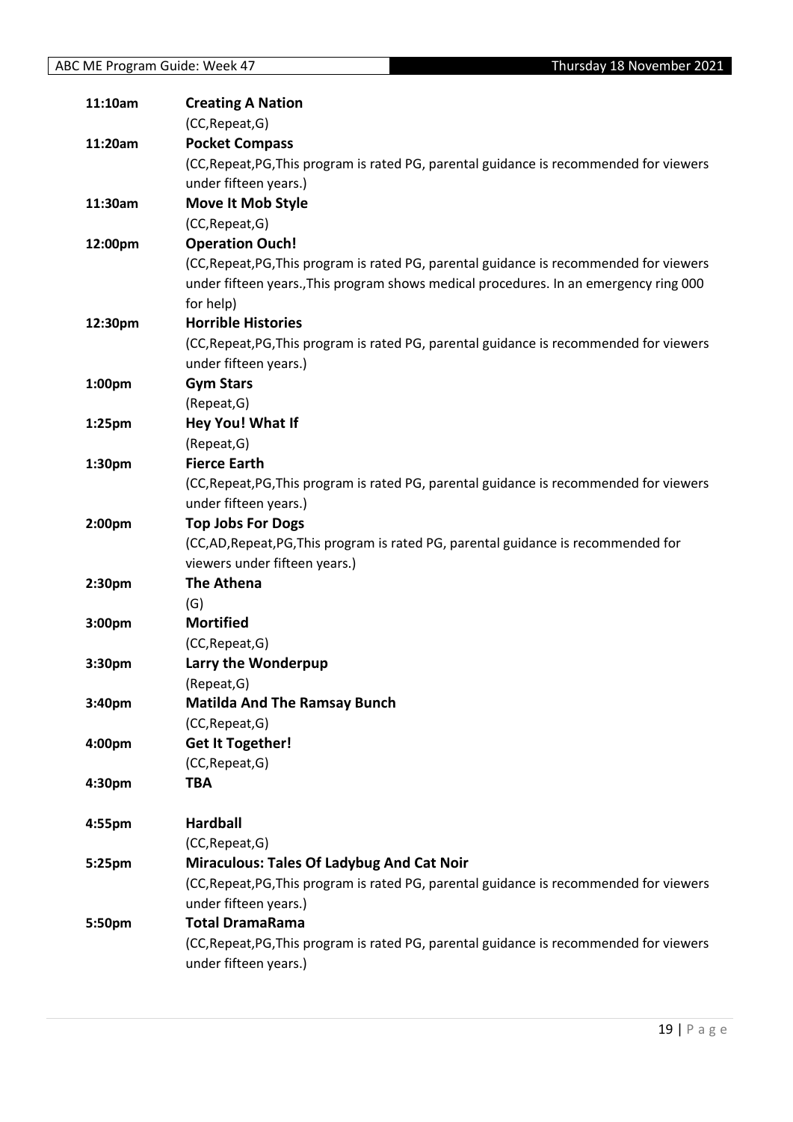| 11:10am            | <b>Creating A Nation</b>                                                                |
|--------------------|-----------------------------------------------------------------------------------------|
|                    | (CC, Repeat, G)                                                                         |
| 11:20am            | <b>Pocket Compass</b>                                                                   |
|                    | (CC, Repeat, PG, This program is rated PG, parental guidance is recommended for viewers |
|                    | under fifteen years.)                                                                   |
| 11:30am            | <b>Move It Mob Style</b>                                                                |
|                    | (CC, Repeat, G)                                                                         |
| 12:00pm            | <b>Operation Ouch!</b>                                                                  |
|                    | (CC, Repeat, PG, This program is rated PG, parental guidance is recommended for viewers |
|                    | under fifteen years., This program shows medical procedures. In an emergency ring 000   |
|                    | for help)                                                                               |
| 12:30pm            | <b>Horrible Histories</b>                                                               |
|                    | (CC, Repeat, PG, This program is rated PG, parental guidance is recommended for viewers |
|                    | under fifteen years.)                                                                   |
| 1:00pm             | <b>Gym Stars</b>                                                                        |
|                    | (Repeat, G)                                                                             |
| 1:25 <sub>pm</sub> | Hey You! What If                                                                        |
|                    | (Repeat, G)                                                                             |
| 1:30pm             | <b>Fierce Earth</b>                                                                     |
|                    | (CC, Repeat, PG, This program is rated PG, parental guidance is recommended for viewers |
|                    | under fifteen years.)                                                                   |
| 2:00 <sub>pm</sub> | <b>Top Jobs For Dogs</b>                                                                |
|                    | (CC,AD,Repeat,PG,This program is rated PG, parental guidance is recommended for         |
|                    | viewers under fifteen years.)                                                           |
| 2:30pm             | <b>The Athena</b>                                                                       |
|                    | (G)                                                                                     |
| 3:00pm             | <b>Mortified</b>                                                                        |
|                    | (CC, Repeat, G)                                                                         |
| 3:30pm             | Larry the Wonderpup                                                                     |
|                    | (Repeat, G)                                                                             |
| 3:40pm             | <b>Matilda And The Ramsay Bunch</b>                                                     |
|                    | (CC, Repeat, G)                                                                         |
| 4:00pm             | <b>Get It Together!</b>                                                                 |
|                    | (CC, Repeat, G)                                                                         |
| 4:30pm             | <b>TBA</b>                                                                              |
|                    | <b>Hardball</b>                                                                         |
| 4:55pm             | (CC, Repeat, G)                                                                         |
| 5:25pm             | <b>Miraculous: Tales Of Ladybug And Cat Noir</b>                                        |
|                    | (CC, Repeat, PG, This program is rated PG, parental guidance is recommended for viewers |
|                    | under fifteen years.)                                                                   |
| 5:50pm             | <b>Total DramaRama</b>                                                                  |
|                    | (CC, Repeat, PG, This program is rated PG, parental guidance is recommended for viewers |
|                    | under fifteen years.)                                                                   |
|                    |                                                                                         |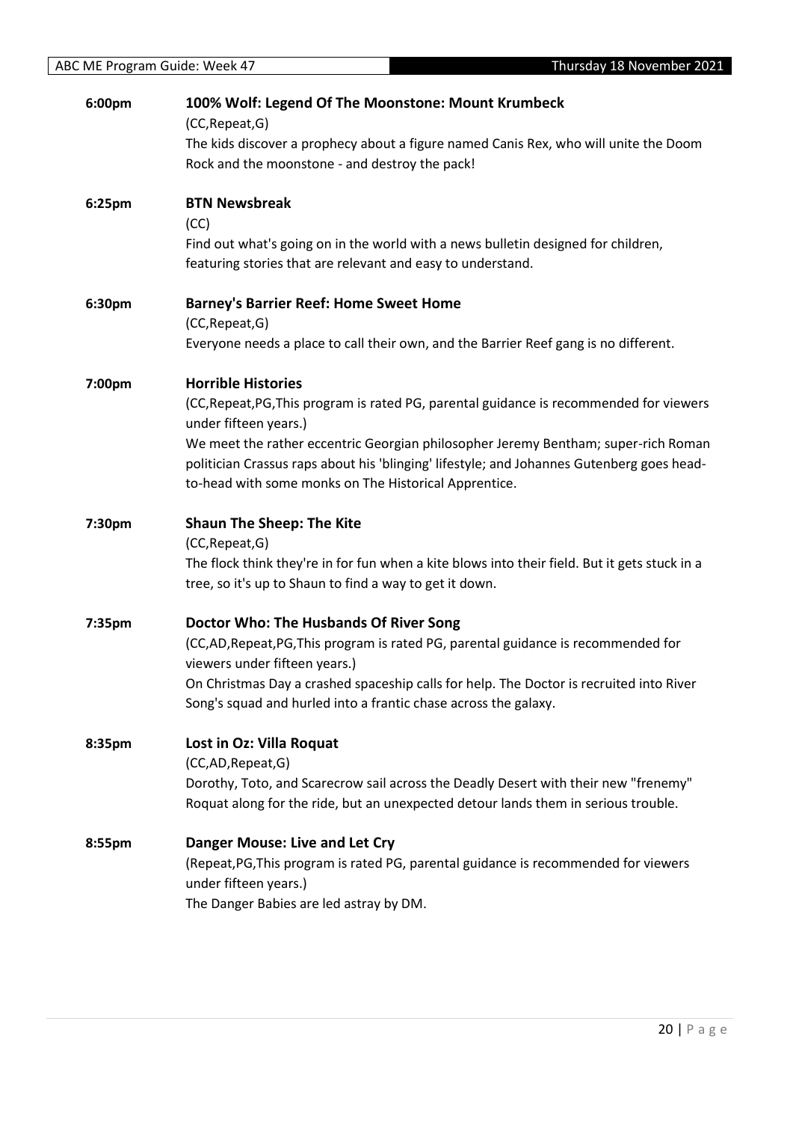| 6:00pm | 100% Wolf: Legend Of The Moonstone: Mount Krumbeck<br>(CC, Repeat, G)<br>The kids discover a prophecy about a figure named Canis Rex, who will unite the Doom |
|--------|---------------------------------------------------------------------------------------------------------------------------------------------------------------|
|        | Rock and the moonstone - and destroy the pack!                                                                                                                |
| 6:25pm | <b>BTN Newsbreak</b><br>(CC)                                                                                                                                  |
|        | Find out what's going on in the world with a news bulletin designed for children,<br>featuring stories that are relevant and easy to understand.              |
| 6:30pm | <b>Barney's Barrier Reef: Home Sweet Home</b><br>(CC, Repeat, G)                                                                                              |
|        | Everyone needs a place to call their own, and the Barrier Reef gang is no different.                                                                          |
| 7:00pm | <b>Horrible Histories</b>                                                                                                                                     |
|        | (CC, Repeat, PG, This program is rated PG, parental guidance is recommended for viewers<br>under fifteen years.)                                              |
|        | We meet the rather eccentric Georgian philosopher Jeremy Bentham; super-rich Roman                                                                            |
|        | politician Crassus raps about his 'blinging' lifestyle; and Johannes Gutenberg goes head-<br>to-head with some monks on The Historical Apprentice.            |
| 7:30pm | <b>Shaun The Sheep: The Kite</b>                                                                                                                              |
|        | (CC, Repeat, G)                                                                                                                                               |
|        |                                                                                                                                                               |
|        | The flock think they're in for fun when a kite blows into their field. But it gets stuck in a<br>tree, so it's up to Shaun to find a way to get it down.      |
| 7:35pm | Doctor Who: The Husbands Of River Song                                                                                                                        |
|        | (CC,AD,Repeat,PG,This program is rated PG, parental guidance is recommended for<br>viewers under fifteen years.)                                              |
|        | On Christmas Day a crashed spaceship calls for help. The Doctor is recruited into River                                                                       |
|        | Song's squad and hurled into a frantic chase across the galaxy.                                                                                               |
| 8:35pm | Lost in Oz: Villa Roquat                                                                                                                                      |
|        | (CC,AD, Repeat, G)<br>Dorothy, Toto, and Scarecrow sail across the Deadly Desert with their new "frenemy"                                                     |
|        | Roquat along for the ride, but an unexpected detour lands them in serious trouble.                                                                            |
| 8:55pm | <b>Danger Mouse: Live and Let Cry</b>                                                                                                                         |
|        | (Repeat, PG, This program is rated PG, parental guidance is recommended for viewers                                                                           |
|        | under fifteen years.)<br>The Danger Babies are led astray by DM.                                                                                              |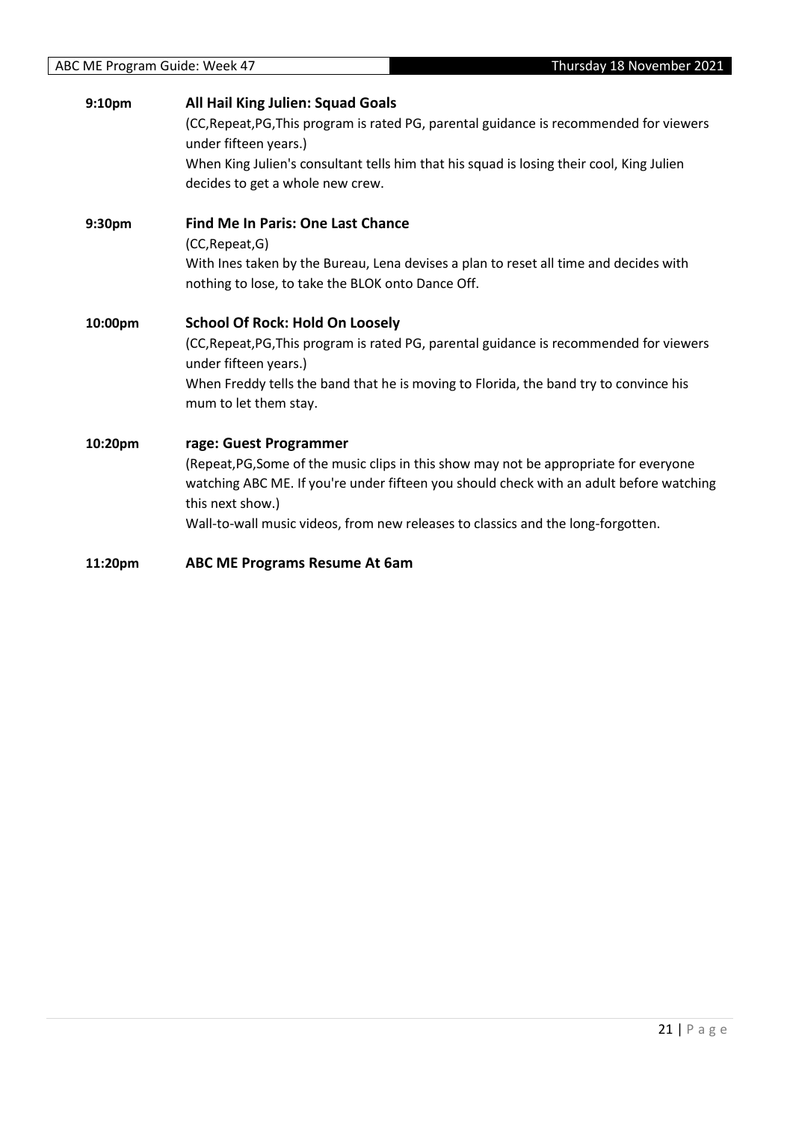| 9:10pm             | All Hail King Julien: Squad Goals<br>(CC, Repeat, PG, This program is rated PG, parental guidance is recommended for viewers<br>under fifteen years.)<br>When King Julien's consultant tells him that his squad is losing their cool, King Julien<br>decides to get a whole new crew.                              |
|--------------------|--------------------------------------------------------------------------------------------------------------------------------------------------------------------------------------------------------------------------------------------------------------------------------------------------------------------|
| 9:30 <sub>pm</sub> | <b>Find Me In Paris: One Last Chance</b><br>(CC, Repeat, G)<br>With Ines taken by the Bureau, Lena devises a plan to reset all time and decides with<br>nothing to lose, to take the BLOK onto Dance Off.                                                                                                          |
| 10:00pm            | <b>School Of Rock: Hold On Loosely</b><br>(CC, Repeat, PG, This program is rated PG, parental guidance is recommended for viewers<br>under fifteen years.)<br>When Freddy tells the band that he is moving to Florida, the band try to convince his<br>mum to let them stay.                                       |
| 10:20pm            | rage: Guest Programmer<br>(Repeat, PG, Some of the music clips in this show may not be appropriate for everyone<br>watching ABC ME. If you're under fifteen you should check with an adult before watching<br>this next show.)<br>Wall-to-wall music videos, from new releases to classics and the long-forgotten. |
| 11:20pm            | <b>ABC ME Programs Resume At 6am</b>                                                                                                                                                                                                                                                                               |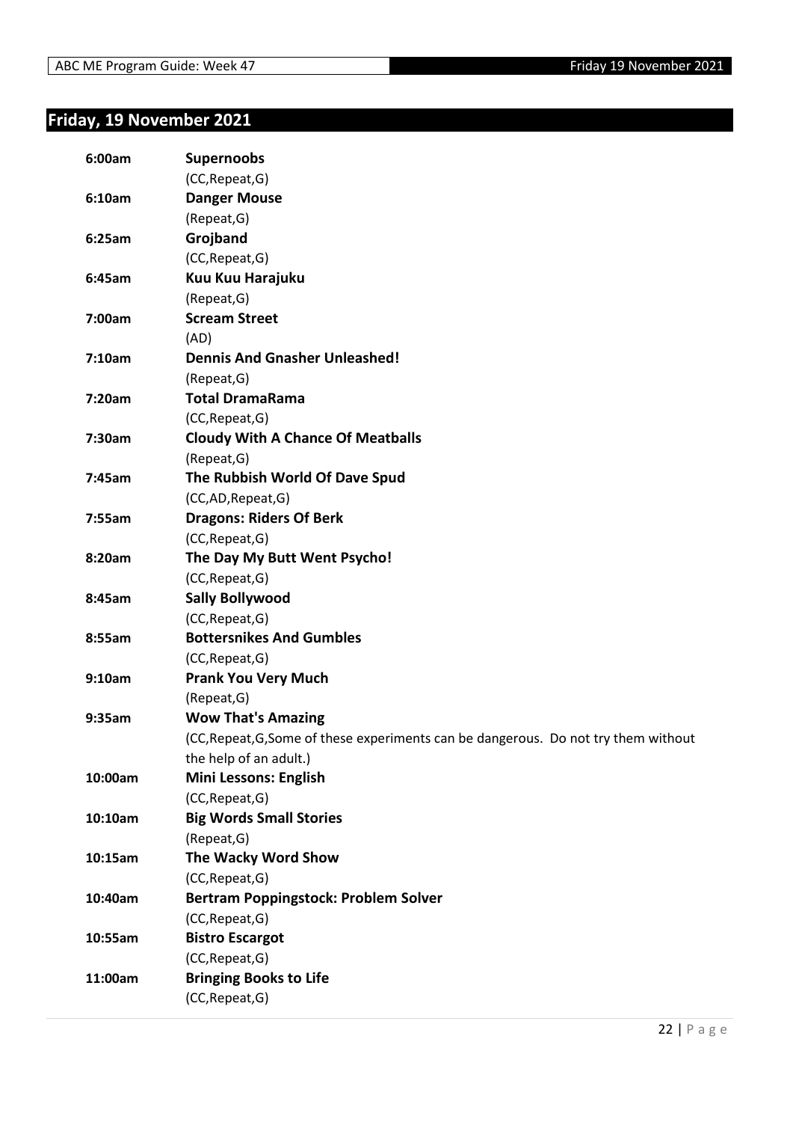### <span id="page-21-0"></span>**Friday, 19 November 2021**

| 6:00am  | <b>Supernoobs</b>                                                                   |
|---------|-------------------------------------------------------------------------------------|
|         | (CC, Repeat, G)                                                                     |
| 6:10am  | <b>Danger Mouse</b>                                                                 |
|         | (Repeat, G)                                                                         |
| 6:25am  | Grojband                                                                            |
|         | (CC, Repeat, G)                                                                     |
| 6:45am  | Kuu Kuu Harajuku                                                                    |
|         | (Repeat, G)                                                                         |
| 7:00am  | <b>Scream Street</b>                                                                |
|         | (AD)                                                                                |
| 7:10am  | <b>Dennis And Gnasher Unleashed!</b>                                                |
|         | (Repeat, G)                                                                         |
| 7:20am  | <b>Total DramaRama</b>                                                              |
|         | (CC, Repeat, G)                                                                     |
| 7:30am  | <b>Cloudy With A Chance Of Meatballs</b>                                            |
|         | (Repeat, G)                                                                         |
| 7:45am  | The Rubbish World Of Dave Spud                                                      |
|         | (CC,AD,Repeat,G)                                                                    |
| 7:55am  | <b>Dragons: Riders Of Berk</b>                                                      |
|         | (CC, Repeat, G)                                                                     |
| 8:20am  | The Day My Butt Went Psycho!                                                        |
|         | (CC, Repeat, G)                                                                     |
| 8:45am  | <b>Sally Bollywood</b>                                                              |
|         | (CC, Repeat, G)                                                                     |
| 8:55am  | <b>Bottersnikes And Gumbles</b>                                                     |
|         | (CC, Repeat, G)                                                                     |
| 9:10am  | <b>Prank You Very Much</b>                                                          |
|         | (Repeat, G)                                                                         |
| 9:35am  | <b>Wow That's Amazing</b>                                                           |
|         | (CC, Repeat, G, Some of these experiments can be dangerous. Do not try them without |
|         | the help of an adult.)                                                              |
| 10:00am | Mini Lessons: English                                                               |
|         | (CC, Repeat, G)                                                                     |
| 10:10am | <b>Big Words Small Stories</b>                                                      |
|         | (Repeat, G)                                                                         |
| 10:15am | The Wacky Word Show                                                                 |
|         | (CC, Repeat, G)                                                                     |
| 10:40am | <b>Bertram Poppingstock: Problem Solver</b>                                         |
|         | (CC, Repeat, G)                                                                     |
| 10:55am | <b>Bistro Escargot</b>                                                              |
|         | (CC, Repeat, G)                                                                     |
| 11:00am | <b>Bringing Books to Life</b>                                                       |
|         | (CC, Repeat, G)                                                                     |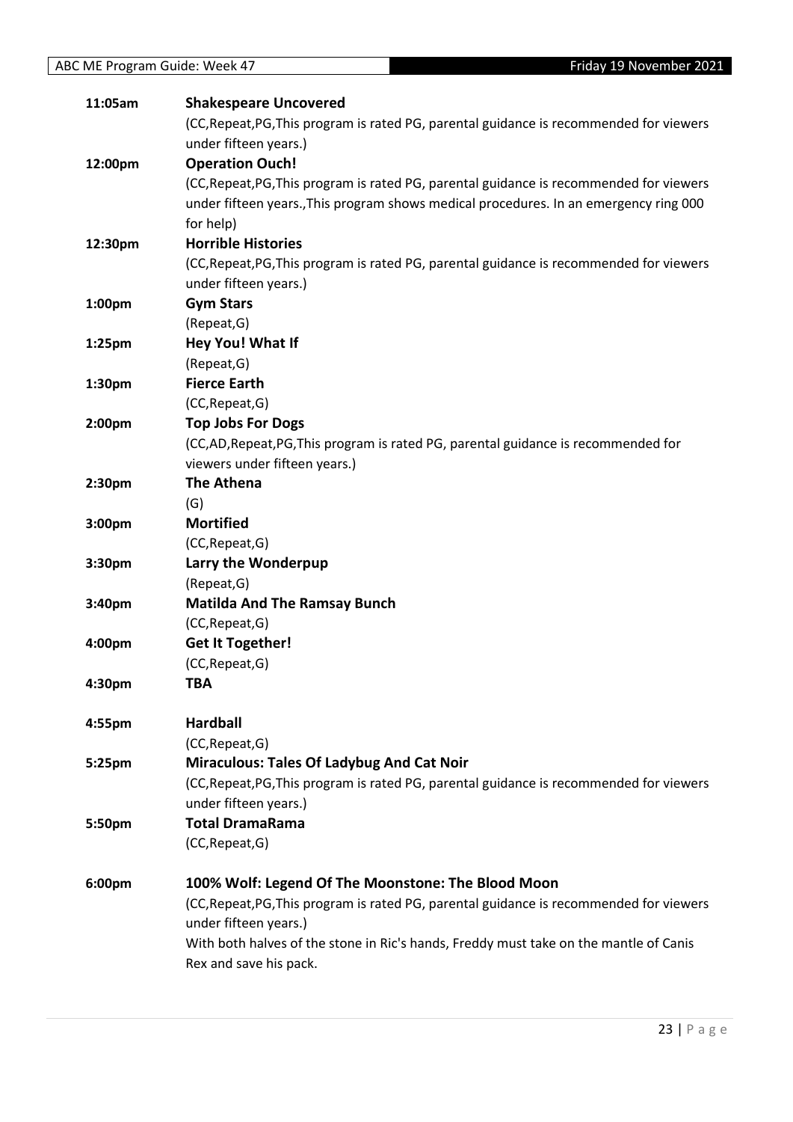| 11:05am   | <b>Shakespeare Uncovered</b>                                                            |
|-----------|-----------------------------------------------------------------------------------------|
|           | (CC, Repeat, PG, This program is rated PG, parental guidance is recommended for viewers |
|           | under fifteen years.)                                                                   |
| 12:00pm   | <b>Operation Ouch!</b>                                                                  |
|           | (CC, Repeat, PG, This program is rated PG, parental guidance is recommended for viewers |
|           | under fifteen years., This program shows medical procedures. In an emergency ring 000   |
|           | for help)                                                                               |
| 12:30pm   | <b>Horrible Histories</b>                                                               |
|           | (CC, Repeat, PG, This program is rated PG, parental guidance is recommended for viewers |
|           | under fifteen years.)                                                                   |
| 1:00pm    | <b>Gym Stars</b>                                                                        |
|           | (Repeat, G)                                                                             |
| $1:25$ pm | Hey You! What If                                                                        |
|           | (Repeat, G)                                                                             |
| 1:30pm    | <b>Fierce Earth</b>                                                                     |
|           | (CC, Repeat, G)                                                                         |
| 2:00pm    | <b>Top Jobs For Dogs</b>                                                                |
|           | (CC,AD,Repeat,PG,This program is rated PG, parental guidance is recommended for         |
|           | viewers under fifteen years.)                                                           |
| 2:30pm    | <b>The Athena</b>                                                                       |
|           | (G)                                                                                     |
| 3:00pm    | <b>Mortified</b>                                                                        |
|           | (CC, Repeat, G)                                                                         |
| 3:30pm    | Larry the Wonderpup                                                                     |
|           | (Repeat, G)                                                                             |
| 3:40pm    | <b>Matilda And The Ramsay Bunch</b>                                                     |
|           | (CC, Repeat, G)                                                                         |
| 4:00pm    | <b>Get It Together!</b>                                                                 |
|           | (CC, Repeat, G)                                                                         |
| 4:30pm    | TBA                                                                                     |
|           |                                                                                         |
| 4:55pm    | <b>Hardball</b>                                                                         |
|           | (CC, Repeat, G)                                                                         |
| 5:25pm    | <b>Miraculous: Tales Of Ladybug And Cat Noir</b>                                        |
|           | (CC, Repeat, PG, This program is rated PG, parental guidance is recommended for viewers |
|           | under fifteen years.)                                                                   |
| 5:50pm    | <b>Total DramaRama</b>                                                                  |
|           | (CC, Repeat, G)                                                                         |
| 6:00pm    | 100% Wolf: Legend Of The Moonstone: The Blood Moon                                      |
|           | (CC, Repeat, PG, This program is rated PG, parental guidance is recommended for viewers |
|           | under fifteen years.)                                                                   |
|           | With both halves of the stone in Ric's hands, Freddy must take on the mantle of Canis   |
|           | Rex and save his pack.                                                                  |
|           |                                                                                         |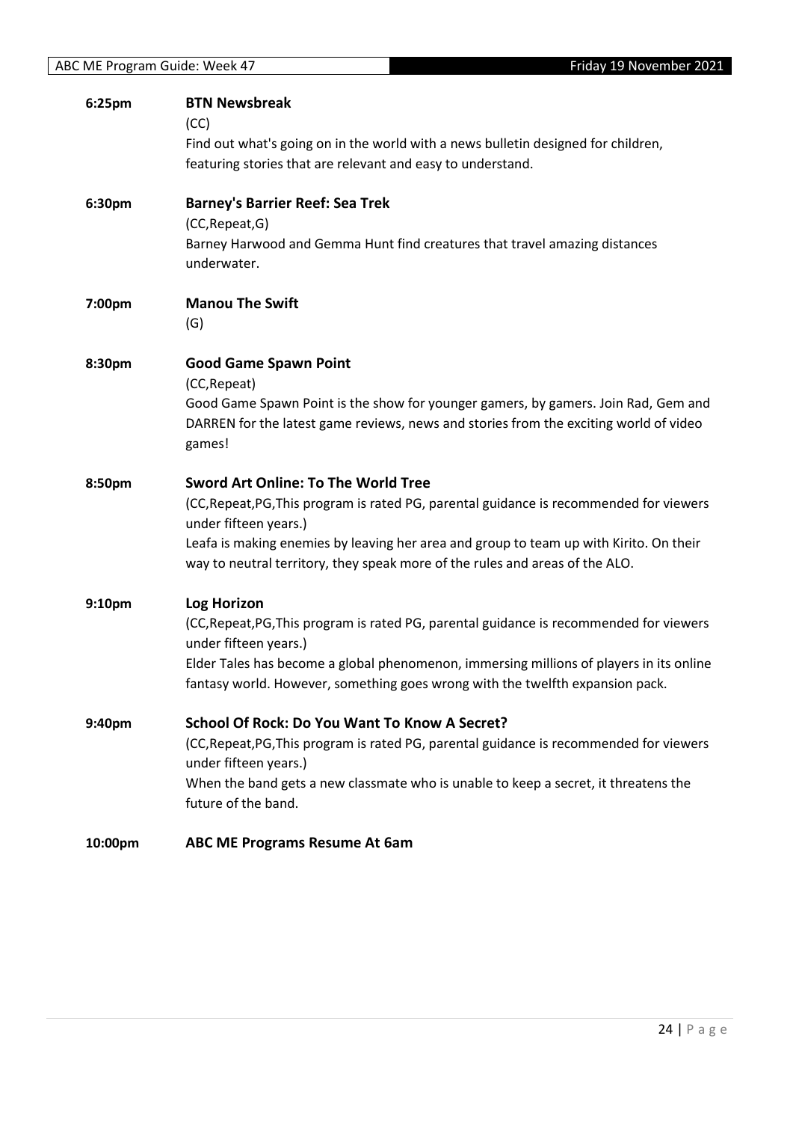| 6:25pm  | <b>BTN Newsbreak</b><br>(CC)                                                                                                                                                                                                                                                                                                             |
|---------|------------------------------------------------------------------------------------------------------------------------------------------------------------------------------------------------------------------------------------------------------------------------------------------------------------------------------------------|
|         | Find out what's going on in the world with a news bulletin designed for children,<br>featuring stories that are relevant and easy to understand.                                                                                                                                                                                         |
| 6:30pm  | <b>Barney's Barrier Reef: Sea Trek</b><br>(CC, Repeat, G)<br>Barney Harwood and Gemma Hunt find creatures that travel amazing distances<br>underwater.                                                                                                                                                                                   |
| 7:00pm  | <b>Manou The Swift</b><br>(G)                                                                                                                                                                                                                                                                                                            |
| 8:30pm  | <b>Good Game Spawn Point</b><br>(CC, Repeat)<br>Good Game Spawn Point is the show for younger gamers, by gamers. Join Rad, Gem and<br>DARREN for the latest game reviews, news and stories from the exciting world of video<br>games!                                                                                                    |
| 8:50pm  | <b>Sword Art Online: To The World Tree</b><br>(CC, Repeat, PG, This program is rated PG, parental guidance is recommended for viewers<br>under fifteen years.)<br>Leafa is making enemies by leaving her area and group to team up with Kirito. On their<br>way to neutral territory, they speak more of the rules and areas of the ALO. |
| 9:10pm  | <b>Log Horizon</b><br>(CC, Repeat, PG, This program is rated PG, parental guidance is recommended for viewers<br>under fifteen years.)<br>Elder Tales has become a global phenomenon, immersing millions of players in its online<br>fantasy world. However, something goes wrong with the twelfth expansion pack.                       |
| 9:40pm  | School Of Rock: Do You Want To Know A Secret?<br>(CC, Repeat, PG, This program is rated PG, parental guidance is recommended for viewers<br>under fifteen years.)<br>When the band gets a new classmate who is unable to keep a secret, it threatens the<br>future of the band.                                                          |
| 10:00pm | <b>ABC ME Programs Resume At 6am</b>                                                                                                                                                                                                                                                                                                     |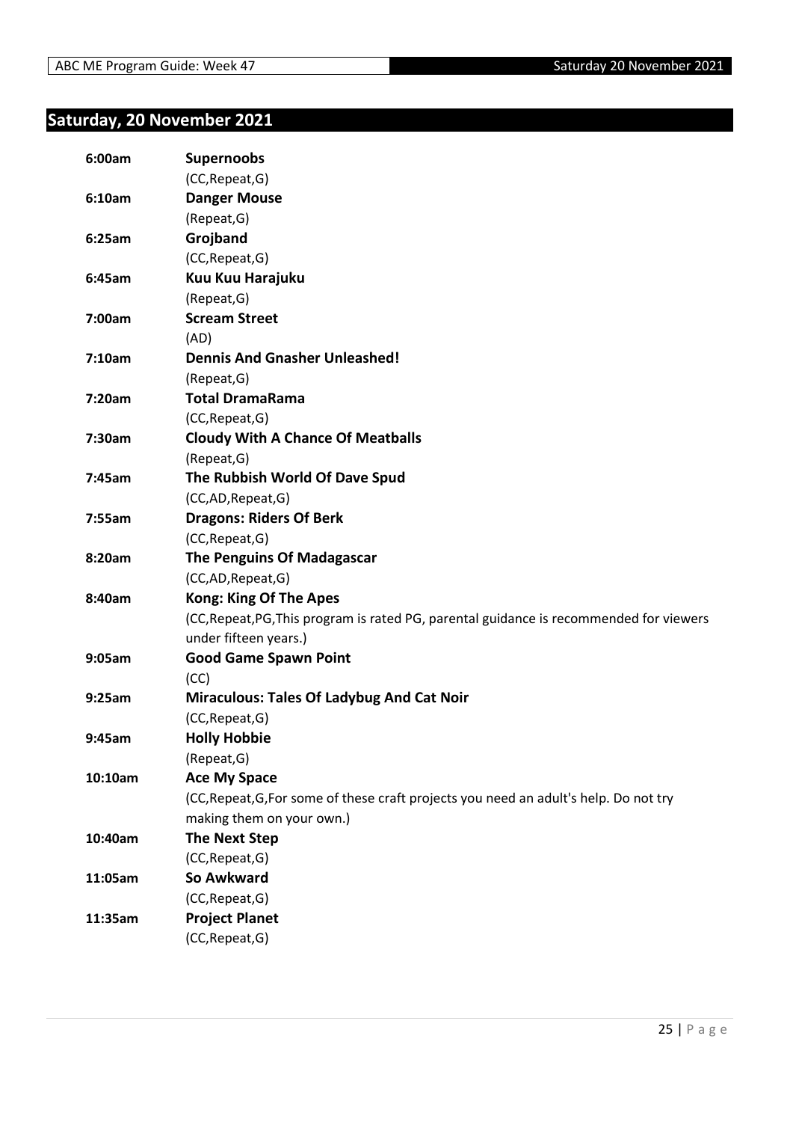#### <span id="page-24-0"></span>**Saturday, 20 November 2021**

| 6:00am  | <b>Supernoobs</b>                                                                       |
|---------|-----------------------------------------------------------------------------------------|
|         | (CC, Repeat, G)                                                                         |
| 6:10am  | <b>Danger Mouse</b>                                                                     |
|         | (Repeat, G)                                                                             |
| 6:25am  | Grojband                                                                                |
|         | (CC, Repeat, G)                                                                         |
| 6:45am  | Kuu Kuu Harajuku                                                                        |
|         | (Repeat, G)                                                                             |
| 7:00am  | <b>Scream Street</b>                                                                    |
|         | (AD)                                                                                    |
| 7:10am  | <b>Dennis And Gnasher Unleashed!</b>                                                    |
|         | (Repeat, G)                                                                             |
| 7:20am  | <b>Total DramaRama</b>                                                                  |
|         | (CC, Repeat, G)                                                                         |
| 7:30am  | <b>Cloudy With A Chance Of Meatballs</b>                                                |
|         | (Repeat, G)                                                                             |
| 7:45am  | The Rubbish World Of Dave Spud                                                          |
|         | (CC,AD,Repeat,G)                                                                        |
| 7:55am  | <b>Dragons: Riders Of Berk</b>                                                          |
|         | (CC, Repeat, G)                                                                         |
| 8:20am  | The Penguins Of Madagascar                                                              |
|         | (CC,AD,Repeat,G)                                                                        |
| 8:40am  | <b>Kong: King Of The Apes</b>                                                           |
|         | (CC, Repeat, PG, This program is rated PG, parental guidance is recommended for viewers |
|         | under fifteen years.)                                                                   |
| 9:05am  | <b>Good Game Spawn Point</b>                                                            |
|         | (CC)                                                                                    |
| 9:25am  | <b>Miraculous: Tales Of Ladybug And Cat Noir</b>                                        |
|         | (CC, Repeat, G)                                                                         |
| 9:45am  | <b>Holly Hobbie</b>                                                                     |
|         | (Repeat, G)                                                                             |
| 10:10am | <b>Ace My Space</b>                                                                     |
|         | (CC, Repeat, G, For some of these craft projects you need an adult's help. Do not try   |
|         | making them on your own.)                                                               |
| 10:40am | <b>The Next Step</b>                                                                    |
|         | (CC, Repeat, G)                                                                         |
| 11:05am | So Awkward                                                                              |
|         | (CC, Repeat, G)                                                                         |
| 11:35am | <b>Project Planet</b>                                                                   |
|         | (CC, Repeat, G)                                                                         |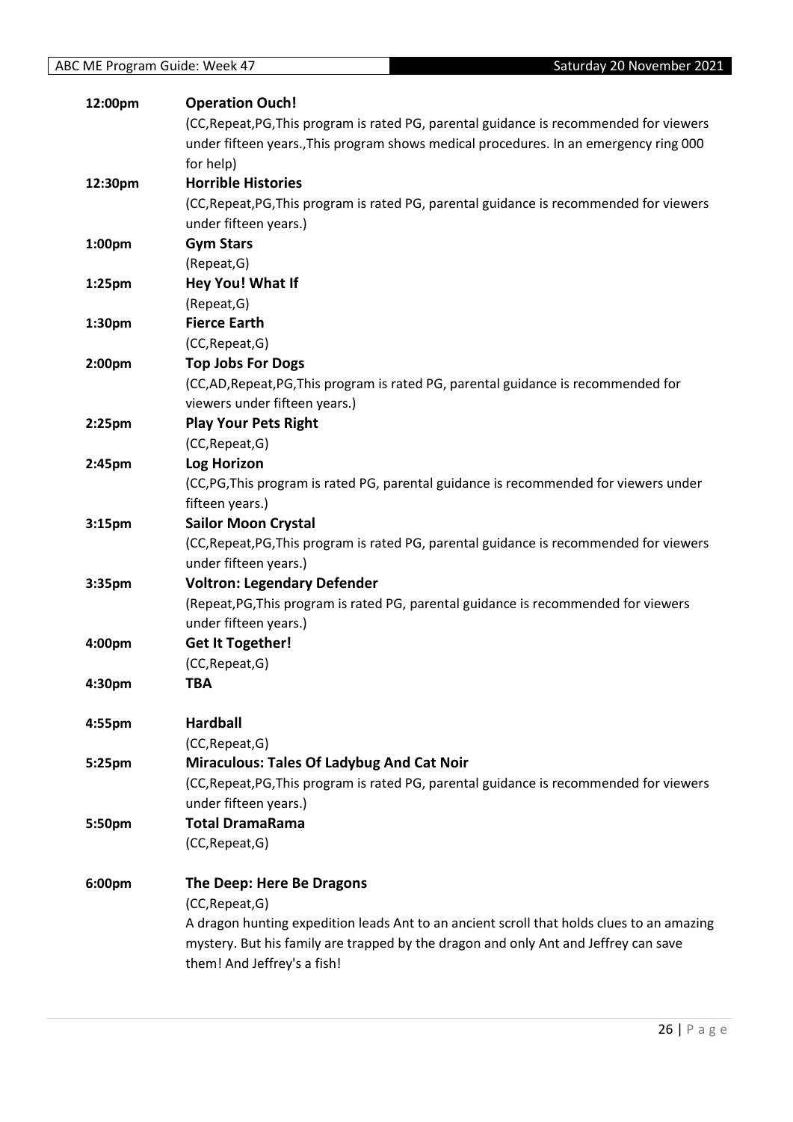| 12:00pm            | <b>Operation Ouch!</b>                                                                    |
|--------------------|-------------------------------------------------------------------------------------------|
|                    | (CC, Repeat, PG, This program is rated PG, parental guidance is recommended for viewers   |
|                    | under fifteen years., This program shows medical procedures. In an emergency ring 000     |
|                    | for help)                                                                                 |
| 12:30pm            | <b>Horrible Histories</b>                                                                 |
|                    | (CC, Repeat, PG, This program is rated PG, parental guidance is recommended for viewers   |
|                    | under fifteen years.)                                                                     |
| 1:00pm             | <b>Gym Stars</b>                                                                          |
|                    | (Repeat, G)                                                                               |
| $1:25$ pm          | Hey You! What If                                                                          |
|                    | (Repeat, G)                                                                               |
| 1:30pm             | <b>Fierce Earth</b>                                                                       |
|                    | (CC, Repeat, G)                                                                           |
| 2:00pm             | <b>Top Jobs For Dogs</b>                                                                  |
|                    | (CC,AD,Repeat,PG,This program is rated PG, parental guidance is recommended for           |
|                    | viewers under fifteen years.)                                                             |
| $2:25$ pm          | <b>Play Your Pets Right</b>                                                               |
|                    | (CC, Repeat, G)                                                                           |
| 2:45pm             | <b>Log Horizon</b>                                                                        |
|                    | (CC,PG,This program is rated PG, parental guidance is recommended for viewers under       |
|                    | fifteen years.)                                                                           |
| 3:15 <sub>pm</sub> | <b>Sailor Moon Crystal</b>                                                                |
|                    | (CC, Repeat, PG, This program is rated PG, parental guidance is recommended for viewers   |
|                    | under fifteen years.)                                                                     |
| 3:35pm             | <b>Voltron: Legendary Defender</b>                                                        |
|                    | (Repeat, PG, This program is rated PG, parental guidance is recommended for viewers       |
|                    | under fifteen years.)                                                                     |
| 4:00pm             | <b>Get It Together!</b>                                                                   |
|                    | (CC, Repeat, G)                                                                           |
| 4:30pm             | TBA                                                                                       |
| 4:55pm             | <b>Hardball</b>                                                                           |
|                    | (CC, Repeat, G)                                                                           |
| 5:25pm             | <b>Miraculous: Tales Of Ladybug And Cat Noir</b>                                          |
|                    | (CC, Repeat, PG, This program is rated PG, parental guidance is recommended for viewers   |
|                    | under fifteen years.)                                                                     |
| 5:50pm             | <b>Total DramaRama</b>                                                                    |
|                    | (CC, Repeat, G)                                                                           |
| 6:00pm             | The Deep: Here Be Dragons                                                                 |
|                    | (CC, Repeat, G)                                                                           |
|                    | A dragon hunting expedition leads Ant to an ancient scroll that holds clues to an amazing |
|                    | mystery. But his family are trapped by the dragon and only Ant and Jeffrey can save       |
|                    | them! And Jeffrey's a fish!                                                               |
|                    |                                                                                           |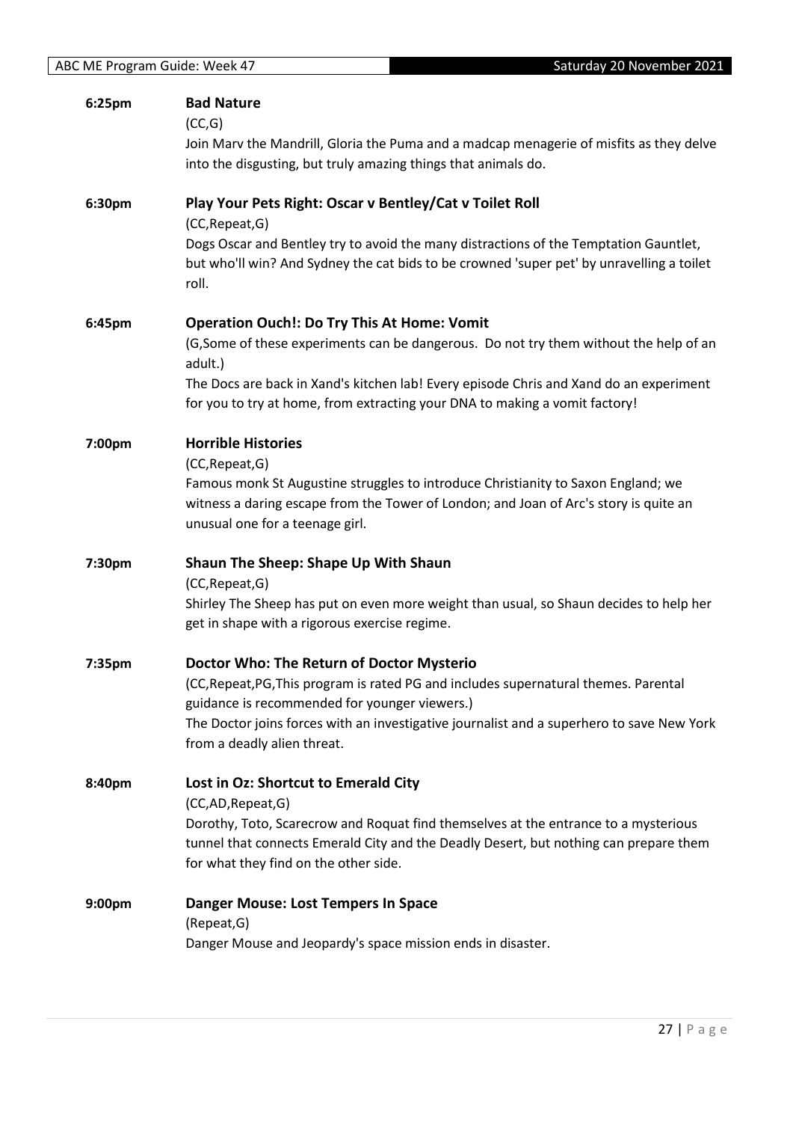| 6:25pm | <b>Bad Nature</b><br>(CC,G)                                                                                                                                                                 |
|--------|---------------------------------------------------------------------------------------------------------------------------------------------------------------------------------------------|
|        | Join Marv the Mandrill, Gloria the Puma and a madcap menagerie of misfits as they delve<br>into the disgusting, but truly amazing things that animals do.                                   |
| 6:30pm | Play Your Pets Right: Oscar v Bentley/Cat v Toilet Roll<br>(CC, Repeat, G)                                                                                                                  |
|        | Dogs Oscar and Bentley try to avoid the many distractions of the Temptation Gauntlet,<br>but who'll win? And Sydney the cat bids to be crowned 'super pet' by unravelling a toilet<br>roll. |
| 6:45pm | <b>Operation Ouch!: Do Try This At Home: Vomit</b><br>(G, Some of these experiments can be dangerous. Do not try them without the help of an                                                |
|        | adult.)<br>The Docs are back in Xand's kitchen lab! Every episode Chris and Xand do an experiment                                                                                           |
|        | for you to try at home, from extracting your DNA to making a vomit factory!                                                                                                                 |
| 7:00pm | <b>Horrible Histories</b><br>(CC, Repeat, G)                                                                                                                                                |
|        | Famous monk St Augustine struggles to introduce Christianity to Saxon England; we                                                                                                           |
|        | witness a daring escape from the Tower of London; and Joan of Arc's story is quite an<br>unusual one for a teenage girl.                                                                    |
| 7:30pm | Shaun The Sheep: Shape Up With Shaun                                                                                                                                                        |
|        | (CC, Repeat, G)<br>Shirley The Sheep has put on even more weight than usual, so Shaun decides to help her                                                                                   |
|        | get in shape with a rigorous exercise regime.                                                                                                                                               |
| 7:35pm | Doctor Who: The Return of Doctor Mysterio<br>(CC, Repeat, PG, This program is rated PG and includes supernatural themes. Parental                                                           |
|        | guidance is recommended for younger viewers.)                                                                                                                                               |
|        | The Doctor joins forces with an investigative journalist and a superhero to save New York<br>from a deadly alien threat.                                                                    |
| 8:40pm | Lost in Oz: Shortcut to Emerald City<br>(CC,AD,Repeat,G)                                                                                                                                    |
|        | Dorothy, Toto, Scarecrow and Roquat find themselves at the entrance to a mysterious                                                                                                         |
|        | tunnel that connects Emerald City and the Deadly Desert, but nothing can prepare them<br>for what they find on the other side.                                                              |
|        |                                                                                                                                                                                             |
| 9:00pm | Danger Mouse: Lost Tempers In Space                                                                                                                                                         |
|        | (Repeat, G)<br>Danger Mouse and Jeopardy's space mission ends in disaster.                                                                                                                  |